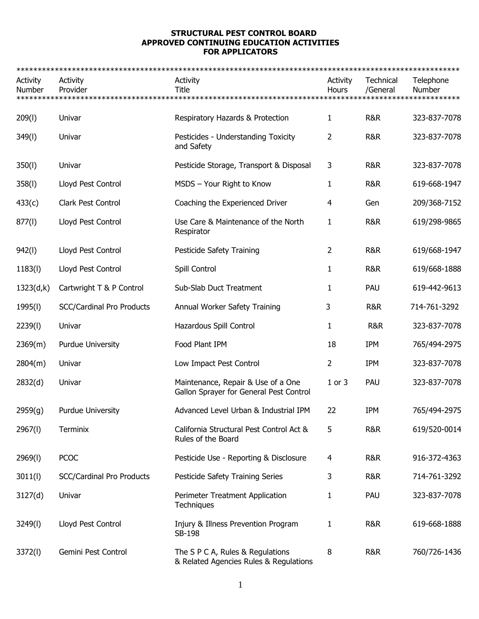## **STRUCTURAL PEST CONTROL BOARD APPROVED CONTINUING EDUCATION ACTIVITIES FOR APPLICATORS**

| Activity<br>Number | Activity<br>Provider             | Activity<br>Title                                                             | Activity<br>Hours | Technical<br>/General | Telephone<br>Number |
|--------------------|----------------------------------|-------------------------------------------------------------------------------|-------------------|-----------------------|---------------------|
| 209(1)             | Univar                           | Respiratory Hazards & Protection                                              | 1                 | R&R                   | 323-837-7078        |
| 349(I)             | Univar                           | Pesticides - Understanding Toxicity<br>and Safety                             | 2                 | R&R                   | 323-837-7078        |
| 350(l)             | Univar                           | Pesticide Storage, Transport & Disposal                                       | 3                 | R&R                   | 323-837-7078        |
| 358(1)             | Lloyd Pest Control               | MSDS - Your Right to Know                                                     | 1                 | R&R                   | 619-668-1947        |
| 433(c)             | Clark Pest Control               | Coaching the Experienced Driver                                               | 4                 | Gen                   | 209/368-7152        |
| 877(1)             | Lloyd Pest Control               | Use Care & Maintenance of the North<br>Respirator                             | 1                 | <b>R&amp;R</b>        | 619/298-9865        |
| 942(l)             | Lloyd Pest Control               | Pesticide Safety Training                                                     | 2                 | R&R                   | 619/668-1947        |
| 1183(l)            | Lloyd Pest Control               | Spill Control                                                                 | 1                 | R&R                   | 619/668-1888        |
| 1323(d,k)          | Cartwright T & P Control         | Sub-Slab Duct Treatment                                                       | 1                 | PAU                   | 619-442-9613        |
| 1995(l)            | <b>SCC/Cardinal Pro Products</b> | Annual Worker Safety Training                                                 | 3                 | R&R                   | 714-761-3292        |
| 2239(l)            | Univar                           | Hazardous Spill Control                                                       | 1                 | <b>R&amp;R</b>        | 323-837-7078        |
| 2369(m)            | Purdue University                | Food Plant IPM                                                                | 18                | <b>IPM</b>            | 765/494-2975        |
| 2804(m)            | Univar                           | Low Impact Pest Control                                                       | 2                 | <b>IPM</b>            | 323-837-7078        |
| 2832(d)            | Univar                           | Maintenance, Repair & Use of a One<br>Gallon Sprayer for General Pest Control | $1$ or $3$        | PAU                   | 323-837-7078        |
| 2959(g)            | <b>Purdue University</b>         | Advanced Level Urban & Industrial IPM                                         | 22                | <b>IPM</b>            | 765/494-2975        |
| 2967(l)            | Terminix                         | California Structural Pest Control Act &<br>Rules of the Board                | 5                 | R&R                   | 619/520-0014        |
| 2969(l)            | <b>PCOC</b>                      | Pesticide Use - Reporting & Disclosure                                        | 4                 | R&R                   | 916-372-4363        |
| 3011(l)            | <b>SCC/Cardinal Pro Products</b> | Pesticide Safety Training Series                                              | 3                 | R&R                   | 714-761-3292        |
| 3127(d)            | Univar                           | Perimeter Treatment Application<br>Techniques                                 | 1                 | PAU                   | 323-837-7078        |
| 3249(l)            | Lloyd Pest Control               | Injury & Illness Prevention Program<br>SB-198                                 | 1                 | R&R                   | 619-668-1888        |
| 3372(l)            | Gemini Pest Control              | The S P C A, Rules & Regulations<br>& Related Agencies Rules & Regulations    | 8                 | R&R                   | 760/726-1436        |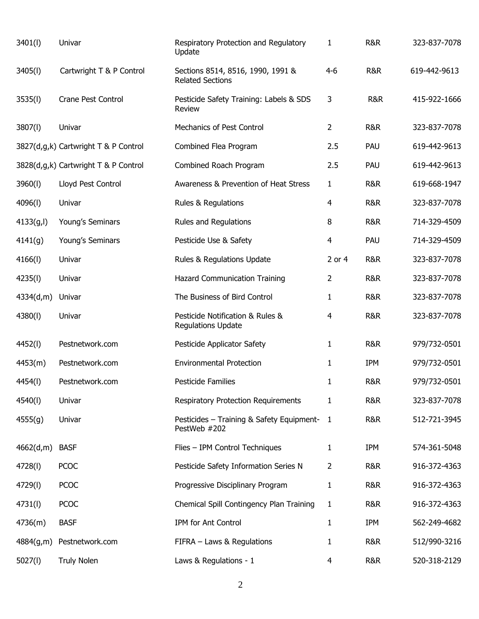| 3401(l)    | Univar                               | Respiratory Protection and Regulatory<br>Update               | 1              | R&R            | 323-837-7078 |
|------------|--------------------------------------|---------------------------------------------------------------|----------------|----------------|--------------|
| 3405(l)    | Cartwright T & P Control             | Sections 8514, 8516, 1990, 1991 &<br><b>Related Sections</b>  | $4 - 6$        | R&R            | 619-442-9613 |
| 3535(l)    | Crane Pest Control                   | Pesticide Safety Training: Labels & SDS<br>Review             | 3              | R&R            | 415-922-1666 |
| 3807(l)    | Univar                               | Mechanics of Pest Control                                     | 2              | <b>R&amp;R</b> | 323-837-7078 |
|            | 3827(d,g,k) Cartwright T & P Control | Combined Flea Program                                         | 2.5            | PAU            | 619-442-9613 |
|            | 3828(d,g,k) Cartwright T & P Control | Combined Roach Program                                        | 2.5            | PAU            | 619-442-9613 |
| 3960(l)    | Lloyd Pest Control                   | Awareness & Prevention of Heat Stress                         | 1              | <b>R&amp;R</b> | 619-668-1947 |
| 4096(l)    | Univar                               | Rules & Regulations                                           | 4              | <b>R&amp;R</b> | 323-837-7078 |
| 4133(g, I) | Young's Seminars                     | Rules and Regulations                                         | 8              | <b>R&amp;R</b> | 714-329-4509 |
| 4141(g)    | Young's Seminars                     | Pesticide Use & Safety                                        | $\overline{4}$ | PAU            | 714-329-4509 |
| 4166(1)    | Univar                               | Rules & Regulations Update                                    | 2 or 4         | <b>R&amp;R</b> | 323-837-7078 |
| 4235(l)    | Univar                               | Hazard Communication Training                                 | 2              | <b>R&amp;R</b> | 323-837-7078 |
| 4334(d,m)  | Univar                               | The Business of Bird Control                                  | 1              | <b>R&amp;R</b> | 323-837-7078 |
| 4380(l)    | Univar                               | Pesticide Notification & Rules &<br><b>Regulations Update</b> | 4              | <b>R&amp;R</b> | 323-837-7078 |
| 4452(l)    | Pestnetwork.com                      | Pesticide Applicator Safety                                   | 1              | <b>R&amp;R</b> | 979/732-0501 |
| 4453(m)    | Pestnetwork.com                      | <b>Environmental Protection</b>                               | 1              | IPM            | 979/732-0501 |
| 4454(I)    | Pestnetwork.com                      | <b>Pesticide Families</b>                                     | 1              | <b>R&amp;R</b> | 979/732-0501 |
| 4540(l)    | Univar                               | <b>Respiratory Protection Requirements</b>                    | 1              | <b>R&amp;R</b> | 323-837-7078 |
| 4555(g)    | Univar                               | Pesticides - Training & Safety Equipment-<br>PestWeb #202     | 1              | R&R            | 512-721-3945 |
| 4662(d,m)  | <b>BASF</b>                          | Flies - IPM Control Techniques                                | 1              | IPM            | 574-361-5048 |
| 4728(l)    | <b>PCOC</b>                          | Pesticide Safety Information Series N                         | 2              | R&R            | 916-372-4363 |
| 4729(l)    | <b>PCOC</b>                          | Progressive Disciplinary Program                              | 1              | R&R            | 916-372-4363 |
| 4731(l)    | <b>PCOC</b>                          | Chemical Spill Contingency Plan Training                      | 1              | R&R            | 916-372-4363 |
| 4736(m)    | <b>BASF</b>                          | IPM for Ant Control                                           | 1              | IPM            | 562-249-4682 |
| 4884(g,m)  | Pestnetwork.com                      | FIFRA - Laws & Regulations                                    | 1              | R&R            | 512/990-3216 |
| 5027(l)    | <b>Truly Nolen</b>                   | Laws & Regulations - 1                                        | 4              | R&R            | 520-318-2129 |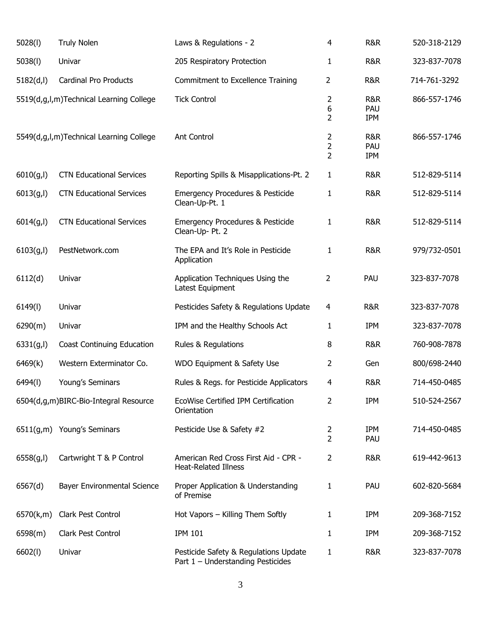| 5028(1)    | <b>Truly Nolen</b>                      | Laws & Regulations - 2                                                     | 4                                     | <b>R&amp;R</b>    | 520-318-2129 |
|------------|-----------------------------------------|----------------------------------------------------------------------------|---------------------------------------|-------------------|--------------|
| 5038(1)    | Univar                                  | 205 Respiratory Protection                                                 | 1                                     | <b>R&amp;R</b>    | 323-837-7078 |
| 5182(d, I) | <b>Cardinal Pro Products</b>            | Commitment to Excellence Training                                          | 2                                     | <b>R&amp;R</b>    | 714-761-3292 |
|            | 5519(d,g,l,m)Technical Learning College | <b>Tick Control</b>                                                        | 2<br>6<br>2                           | R&R<br>PAU<br>IPM | 866-557-1746 |
|            | 5549(d,g,l,m)Technical Learning College | <b>Ant Control</b>                                                         | 2<br>$\overline{2}$<br>$\overline{2}$ | R&R<br>PAU<br>IPM | 866-557-1746 |
| 6010(g, I) | <b>CTN Educational Services</b>         | Reporting Spills & Misapplications-Pt. 2                                   | 1                                     | R&R               | 512-829-5114 |
| 6013(g, I) | <b>CTN Educational Services</b>         | <b>Emergency Procedures &amp; Pesticide</b><br>Clean-Up-Pt. 1              | 1                                     | R&R               | 512-829-5114 |
| 6014(g, I) | <b>CTN Educational Services</b>         | <b>Emergency Procedures &amp; Pesticide</b><br>Clean-Up- Pt. 2             | 1                                     | <b>R&amp;R</b>    | 512-829-5114 |
| 6103(g, I) | PestNetwork.com                         | The EPA and It's Role in Pesticide<br>Application                          | 1                                     | R&R               | 979/732-0501 |
| 6112(d)    | Univar                                  | Application Techniques Using the<br>Latest Equipment                       | 2                                     | PAU               | 323-837-7078 |
| 6149(1)    | Univar                                  | Pesticides Safety & Regulations Update                                     | 4                                     | <b>R&amp;R</b>    | 323-837-7078 |
| 6290(m)    | Univar                                  | IPM and the Healthy Schools Act                                            | 1                                     | <b>IPM</b>        | 323-837-7078 |
| 6331(g, I) | <b>Coast Continuing Education</b>       | Rules & Regulations                                                        | 8                                     | <b>R&amp;R</b>    | 760-908-7878 |
| 6469(k)    | Western Exterminator Co.                | WDO Equipment & Safety Use                                                 | 2                                     | Gen               | 800/698-2440 |
| 6494(I)    | Young's Seminars                        | Rules & Regs. for Pesticide Applicators                                    | 4                                     | <b>R&amp;R</b>    | 714-450-0485 |
|            | 6504(d,g,m)BIRC-Bio-Integral Resource   | EcoWise Certified IPM Certification<br>Orientation                         | 2                                     | <b>IPM</b>        | 510-524-2567 |
|            | 6511(g,m) Young's Seminars              | Pesticide Use & Safety #2                                                  | 2<br>$\overline{2}$                   | <b>IPM</b><br>PAU | 714-450-0485 |
| 6558(g, I) | Cartwright T & P Control                | American Red Cross First Aid - CPR -<br><b>Heat-Related Illness</b>        | 2                                     | R&R               | 619-442-9613 |
| 6567(d)    | Bayer Environmental Science             | Proper Application & Understanding<br>of Premise                           | 1                                     | PAU               | 602-820-5684 |
| 6570(k,m)  | Clark Pest Control                      | Hot Vapors - Killing Them Softly                                           | 1                                     | <b>IPM</b>        | 209-368-7152 |
| 6598(m)    | Clark Pest Control                      | <b>IPM 101</b>                                                             | 1                                     | <b>IPM</b>        | 209-368-7152 |
| 6602(l)    | Univar                                  | Pesticide Safety & Regulations Update<br>Part 1 - Understanding Pesticides | 1                                     | R&R               | 323-837-7078 |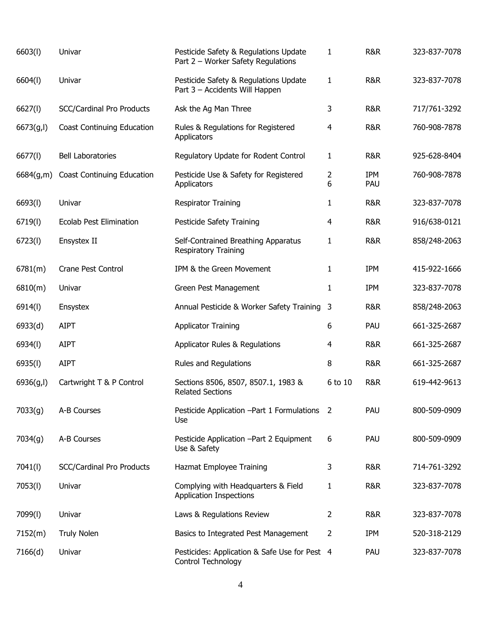| 6603(1)    | Univar                            | Pesticide Safety & Regulations Update<br>Part 2 - Worker Safety Regulations | $\mathbf{1}$        | R&R               | 323-837-7078 |
|------------|-----------------------------------|-----------------------------------------------------------------------------|---------------------|-------------------|--------------|
| 6604(l)    | Univar                            | Pesticide Safety & Regulations Update<br>Part 3 - Accidents Will Happen     | $\mathbf{1}$        | R&R               | 323-837-7078 |
| 6627(l)    | <b>SCC/Cardinal Pro Products</b>  | Ask the Ag Man Three                                                        | 3                   | <b>R&amp;R</b>    | 717/761-3292 |
| 6673(g, I) | <b>Coast Continuing Education</b> | Rules & Regulations for Registered<br>Applicators                           | 4                   | R&R               | 760-908-7878 |
| 6677(l)    | <b>Bell Laboratories</b>          | Regulatory Update for Rodent Control                                        | $\mathbf{1}$        | <b>R&amp;R</b>    | 925-628-8404 |
| 6684(g,m)  | <b>Coast Continuing Education</b> | Pesticide Use & Safety for Registered<br>Applicators                        | $\overline{2}$<br>6 | <b>IPM</b><br>PAU | 760-908-7878 |
| 6693(l)    | Univar                            | <b>Respirator Training</b>                                                  | 1                   | <b>R&amp;R</b>    | 323-837-7078 |
| 6719(l)    | <b>Ecolab Pest Elimination</b>    | Pesticide Safety Training                                                   | 4                   | <b>R&amp;R</b>    | 916/638-0121 |
| 6723(l)    | Ensystex II                       | Self-Contrained Breathing Apparatus<br><b>Respiratory Training</b>          | 1                   | R&R               | 858/248-2063 |
| 6781(m)    | <b>Crane Pest Control</b>         | IPM & the Green Movement                                                    | 1                   | IPM               | 415-922-1666 |
| 6810(m)    | Univar                            | Green Pest Management                                                       | 1                   | IPM               | 323-837-7078 |
| 6914(l)    | Ensystex                          | Annual Pesticide & Worker Safety Training                                   | 3                   | R&R               | 858/248-2063 |
| 6933(d)    | <b>AIPT</b>                       | <b>Applicator Training</b>                                                  | 6                   | PAU               | 661-325-2687 |
| 6934(l)    | <b>AIPT</b>                       | Applicator Rules & Regulations                                              | 4                   | R&R               | 661-325-2687 |
| 6935(l)    | <b>AIPT</b>                       | Rules and Regulations                                                       | 8                   | <b>R&amp;R</b>    | 661-325-2687 |
| 6936(g,l)  | Cartwright T & P Control          | Sections 8506, 8507, 8507.1, 1983 &<br><b>Related Sections</b>              | 6 to 10             | <b>R&amp;R</b>    | 619-442-9613 |
| 7033(g)    | A-B Courses                       | Pesticide Application - Part 1 Formulations 2<br>Use                        |                     | PAU               | 800-509-0909 |
| 7034(g)    | A-B Courses                       | Pesticide Application - Part 2 Equipment<br>Use & Safety                    | 6                   | PAU               | 800-509-0909 |
| 7041(l)    | <b>SCC/Cardinal Pro Products</b>  | Hazmat Employee Training                                                    | 3                   | R&R               | 714-761-3292 |
| 7053(l)    | Univar                            | Complying with Headquarters & Field<br><b>Application Inspections</b>       | 1                   | R&R               | 323-837-7078 |
| 7099(l)    | Univar                            | Laws & Regulations Review                                                   | 2                   | R&R               | 323-837-7078 |
| 7152(m)    | <b>Truly Nolen</b>                | Basics to Integrated Pest Management                                        | 2                   | <b>IPM</b>        | 520-318-2129 |
| 7166(d)    | Univar                            | Pesticides: Application & Safe Use for Pest 4<br>Control Technology         |                     | PAU               | 323-837-7078 |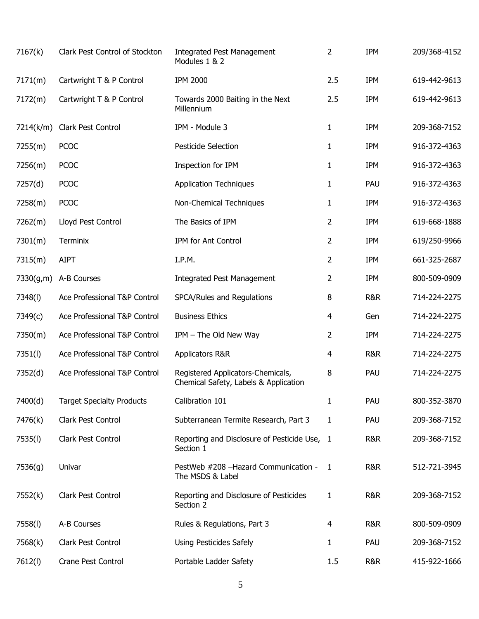| 7167(k)   | Clark Pest Control of Stockton   | <b>Integrated Pest Management</b><br>Modules 1 & 2                         | $\overline{2}$ | IPM        | 209/368-4152 |
|-----------|----------------------------------|----------------------------------------------------------------------------|----------------|------------|--------------|
| 7171(m)   | Cartwright T & P Control         | <b>IPM 2000</b>                                                            | 2.5            | IPM        | 619-442-9613 |
| 7172(m)   | Cartwright T & P Control         | Towards 2000 Baiting in the Next<br>Millennium                             | 2.5            | IPM        | 619-442-9613 |
| 7214(k/m) | Clark Pest Control               | IPM - Module 3                                                             | 1              | <b>IPM</b> | 209-368-7152 |
| 7255(m)   | <b>PCOC</b>                      | Pesticide Selection                                                        | 1              | <b>IPM</b> | 916-372-4363 |
| 7256(m)   | <b>PCOC</b>                      | Inspection for IPM                                                         | 1              | <b>IPM</b> | 916-372-4363 |
| 7257(d)   | <b>PCOC</b>                      | <b>Application Techniques</b>                                              | 1              | PAU        | 916-372-4363 |
| 7258(m)   | <b>PCOC</b>                      | Non-Chemical Techniques                                                    | 1              | <b>IPM</b> | 916-372-4363 |
| 7262(m)   | Lloyd Pest Control               | The Basics of IPM                                                          | 2              | IPM        | 619-668-1888 |
| 7301(m)   | Terminix                         | IPM for Ant Control                                                        | 2              | IPM        | 619/250-9966 |
| 7315(m)   | <b>AIPT</b>                      | I.P.M.                                                                     | 2              | IPM        | 661-325-2687 |
| 7330(g,m) | A-B Courses                      | <b>Integrated Pest Management</b>                                          | 2              | IPM        | 800-509-0909 |
| 7348(I)   | Ace Professional T&P Control     | SPCA/Rules and Regulations                                                 | 8              | R&R        | 714-224-2275 |
| 7349(c)   | Ace Professional T&P Control     | <b>Business Ethics</b>                                                     | 4              | Gen        | 714-224-2275 |
| 7350(m)   | Ace Professional T&P Control     | IPM - The Old New Way                                                      | 2              | <b>IPM</b> | 714-224-2275 |
| 7351(l)   | Ace Professional T&P Control     | Applicators R&R                                                            | 4              | R&R        | 714-224-2275 |
| 7352(d)   | Ace Professional T&P Control     | Registered Applicators-Chemicals,<br>Chemical Safety, Labels & Application | 8              | PAU        | 714-224-2275 |
| 7400(d)   | <b>Target Specialty Products</b> | Calibration 101                                                            | 1              | PAU        | 800-352-3870 |
| 7476(k)   | Clark Pest Control               | Subterranean Termite Research, Part 3                                      | 1              | PAU        | 209-368-7152 |
| 7535(l)   | Clark Pest Control               | Reporting and Disclosure of Pesticide Use, 1<br>Section 1                  |                | R&R        | 209-368-7152 |
| 7536(g)   | Univar                           | PestWeb #208 - Hazard Communication -<br>The MSDS & Label                  | -1             | R&R        | 512-721-3945 |
| 7552(k)   | Clark Pest Control               | Reporting and Disclosure of Pesticides<br>Section 2                        | 1              | R&R        | 209-368-7152 |
| 7558(l)   | A-B Courses                      | Rules & Regulations, Part 3                                                | 4              | R&R        | 800-509-0909 |
| 7568(k)   | Clark Pest Control               | <b>Using Pesticides Safely</b>                                             | 1              | PAU        | 209-368-7152 |
| 7612(l)   | Crane Pest Control               | Portable Ladder Safety                                                     | 1.5            | R&R        | 415-922-1666 |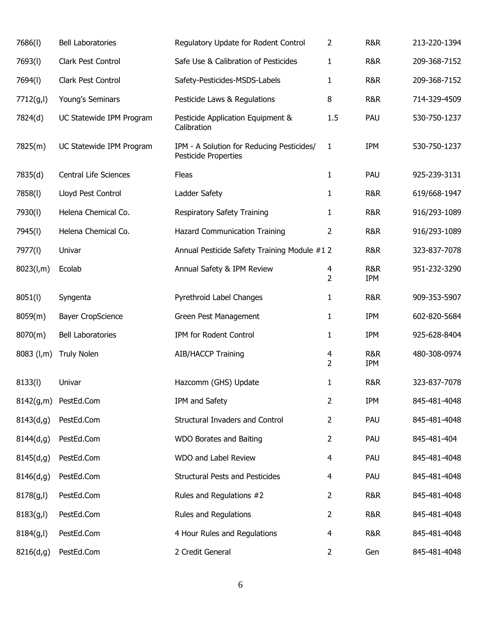| 7686(I)      | <b>Bell Laboratories</b>     | Regulatory Update for Rodent Control                              | 2                   | <b>R&amp;R</b>        | 213-220-1394 |
|--------------|------------------------------|-------------------------------------------------------------------|---------------------|-----------------------|--------------|
| 7693(l)      | Clark Pest Control           | Safe Use & Calibration of Pesticides                              | 1                   | <b>R&amp;R</b>        | 209-368-7152 |
| 7694(I)      | Clark Pest Control           | Safety-Pesticides-MSDS-Labels                                     | 1                   | <b>R&amp;R</b>        | 209-368-7152 |
| 7712(g,l)    | Young's Seminars             | Pesticide Laws & Regulations                                      | 8                   | <b>R&amp;R</b>        | 714-329-4509 |
| 7824(d)      | UC Statewide IPM Program     | Pesticide Application Equipment &<br>Calibration                  | 1.5                 | PAU                   | 530-750-1237 |
| 7825(m)      | UC Statewide IPM Program     | IPM - A Solution for Reducing Pesticides/<br>Pesticide Properties | 1                   | <b>IPM</b>            | 530-750-1237 |
| 7835(d)      | <b>Central Life Sciences</b> | Fleas                                                             | 1                   | PAU                   | 925-239-3131 |
| 7858(l)      | Lloyd Pest Control           | Ladder Safety                                                     | 1                   | R&R                   | 619/668-1947 |
| 7930(l)      | Helena Chemical Co.          | Respiratory Safety Training                                       | 1                   | <b>R&amp;R</b>        | 916/293-1089 |
| 7945(I)      | Helena Chemical Co.          | <b>Hazard Communication Training</b>                              | 2                   | <b>R&amp;R</b>        | 916/293-1089 |
| 7977(l)      | Univar                       | Annual Pesticide Safety Training Module #1 2                      |                     | R&R                   | 323-837-7078 |
| 8023(l,m)    | Ecolab                       | Annual Safety & IPM Review                                        | 4<br>$\overline{2}$ | R&R<br>IPM            | 951-232-3290 |
| 8051(1)      | Syngenta                     | Pyrethroid Label Changes                                          | 1                   | <b>R&amp;R</b>        | 909-353-5907 |
| 8059(m)      | <b>Bayer CropScience</b>     | Green Pest Management                                             | 1                   | <b>IPM</b>            | 602-820-5684 |
| 8070(m)      | <b>Bell Laboratories</b>     | IPM for Rodent Control                                            | 1                   | <b>IPM</b>            | 925-628-8404 |
| $8083$ (l,m) | <b>Truly Nolen</b>           | <b>AIB/HACCP Training</b>                                         | 4<br>$\overline{2}$ | <b>R&amp;R</b><br>IPM | 480-308-0974 |
| 8133(l)      | Univar                       | Hazcomm (GHS) Update                                              | 1                   | <b>R&amp;R</b>        | 323-837-7078 |
| 8142(g,m)    | PestEd.Com                   | IPM and Safety                                                    | 2                   | <b>IPM</b>            | 845-481-4048 |
| 8143(d,g)    | PestEd.Com                   | Structural Invaders and Control                                   | 2                   | PAU                   | 845-481-4048 |
| 8144(d,g)    | PestEd.Com                   | WDO Borates and Baiting                                           | 2                   | PAU                   | 845-481-404  |
| 8145(d,g)    | PestEd.Com                   | WDO and Label Review                                              | 4                   | PAU                   | 845-481-4048 |
| 8146(d,g)    | PestEd.Com                   | <b>Structural Pests and Pesticides</b>                            | 4                   | PAU                   | 845-481-4048 |
| 8178(g, I)   | PestEd.Com                   | Rules and Regulations #2                                          | 2                   | R&R                   | 845-481-4048 |
| 8183(g, I)   | PestEd.Com                   | Rules and Regulations                                             | 2                   | R&R                   | 845-481-4048 |
| 8184(g, I)   | PestEd.Com                   | 4 Hour Rules and Regulations                                      | 4                   | R&R                   | 845-481-4048 |
| 8216(d,g)    | PestEd.Com                   | 2 Credit General                                                  | $\overline{2}$      | Gen                   | 845-481-4048 |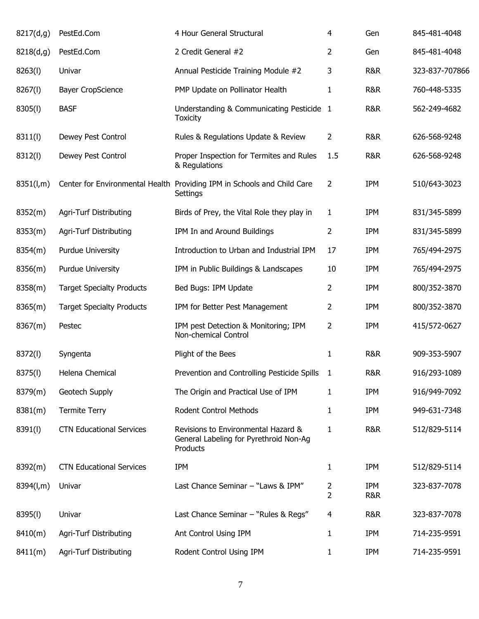| 8217(d,g) | PestEd.Com                       | 4 Hour General Structural                                                                 | $\overline{4}$      | Gen                          | 845-481-4048   |
|-----------|----------------------------------|-------------------------------------------------------------------------------------------|---------------------|------------------------------|----------------|
| 8218(d,g) | PestEd.Com                       | 2 Credit General #2                                                                       | $\overline{2}$      | Gen                          | 845-481-4048   |
| 8263(l)   | Univar                           | Annual Pesticide Training Module #2                                                       | 3                   | R&R                          | 323-837-707866 |
| 8267(l)   | <b>Bayer CropScience</b>         | PMP Update on Pollinator Health                                                           | $\mathbf{1}$        | R&R                          | 760-448-5335   |
| 8305(l)   | <b>BASF</b>                      | Understanding & Communicating Pesticide 1<br><b>Toxicity</b>                              |                     | R&R                          | 562-249-4682   |
| 8311(l)   | Dewey Pest Control               | Rules & Regulations Update & Review                                                       | $\overline{2}$      | R&R                          | 626-568-9248   |
| 8312(l)   | Dewey Pest Control               | Proper Inspection for Termites and Rules<br>& Regulations                                 | 1.5                 | R&R                          | 626-568-9248   |
| 8351(l,m) |                                  | Center for Environmental Health Providing IPM in Schools and Child Care<br>Settings       | $\overline{2}$      | <b>IPM</b>                   | 510/643-3023   |
| 8352(m)   | Agri-Turf Distributing           | Birds of Prey, the Vital Role they play in                                                | $\mathbf{1}$        | <b>IPM</b>                   | 831/345-5899   |
| 8353(m)   | Agri-Turf Distributing           | IPM In and Around Buildings                                                               | 2                   | <b>IPM</b>                   | 831/345-5899   |
| 8354(m)   | <b>Purdue University</b>         | Introduction to Urban and Industrial IPM                                                  | 17                  | <b>IPM</b>                   | 765/494-2975   |
| 8356(m)   | <b>Purdue University</b>         | IPM in Public Buildings & Landscapes                                                      | 10                  | <b>IPM</b>                   | 765/494-2975   |
| 8358(m)   | <b>Target Specialty Products</b> | Bed Bugs: IPM Update                                                                      | 2                   | <b>IPM</b>                   | 800/352-3870   |
| 8365(m)   | <b>Target Specialty Products</b> | IPM for Better Pest Management                                                            | 2                   | <b>IPM</b>                   | 800/352-3870   |
| 8367(m)   | Pestec                           | IPM pest Detection & Monitoring; IPM<br>Non-chemical Control                              | 2                   | <b>IPM</b>                   | 415/572-0627   |
| 8372(l)   | Syngenta                         | Plight of the Bees                                                                        | 1                   | <b>R&amp;R</b>               | 909-353-5907   |
| 8375(l)   | Helena Chemical                  | Prevention and Controlling Pesticide Spills                                               | $\mathbf{1}$        | R&R                          | 916/293-1089   |
| 8379(m)   | Geotech Supply                   | The Origin and Practical Use of IPM                                                       | 1                   | <b>IPM</b>                   | 916/949-7092   |
| 8381(m)   | <b>Termite Terry</b>             | Rodent Control Methods                                                                    | 1                   | <b>IPM</b>                   | 949-631-7348   |
| 8391(l)   | <b>CTN Educational Services</b>  | Revisions to Environmental Hazard &<br>General Labeling for Pyrethroid Non-Ag<br>Products | 1                   | R&R                          | 512/829-5114   |
| 8392(m)   | <b>CTN Educational Services</b>  | IPM                                                                                       | $\mathbf{1}$        | <b>IPM</b>                   | 512/829-5114   |
| 8394(l,m) | Univar                           | Last Chance Seminar - "Laws & IPM"                                                        | 2<br>$\overline{2}$ | <b>IPM</b><br><b>R&amp;R</b> | 323-837-7078   |
| 8395(l)   | Univar                           | Last Chance Seminar - "Rules & Regs"                                                      | 4                   | R&R                          | 323-837-7078   |
| 8410(m)   | Agri-Turf Distributing           | Ant Control Using IPM                                                                     | 1                   | <b>IPM</b>                   | 714-235-9591   |
| 8411(m)   | Agri-Turf Distributing           | Rodent Control Using IPM                                                                  | $\mathbf{1}$        | <b>IPM</b>                   | 714-235-9591   |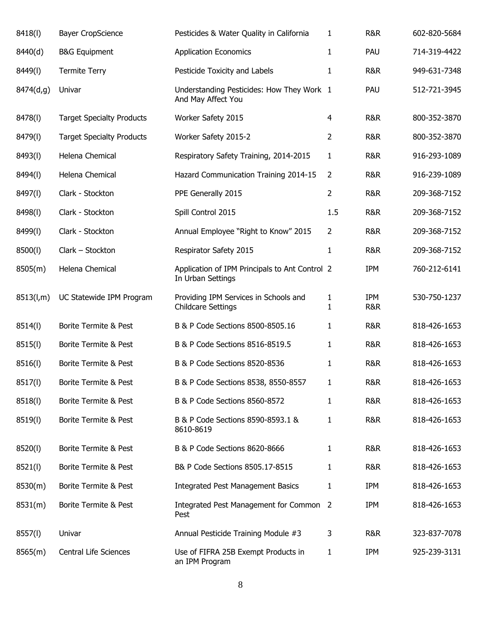| 8418(l)   | <b>Bayer CropScience</b>         | Pesticides & Water Quality in California                            | 1                 | R&R            | 602-820-5684 |
|-----------|----------------------------------|---------------------------------------------------------------------|-------------------|----------------|--------------|
| 8440(d)   | <b>B&amp;G Equipment</b>         | <b>Application Economics</b>                                        | 1                 | PAU            | 714-319-4422 |
| 8449(I)   | <b>Termite Terry</b>             | Pesticide Toxicity and Labels                                       | 1                 | R&R            | 949-631-7348 |
| 8474(d,g) | Univar                           | Understanding Pesticides: How They Work 1<br>And May Affect You     |                   | PAU            | 512-721-3945 |
| 8478(I)   | <b>Target Specialty Products</b> | Worker Safety 2015                                                  | 4                 | R&R            | 800-352-3870 |
| 8479(l)   | <b>Target Specialty Products</b> | Worker Safety 2015-2                                                | 2                 | R&R            | 800-352-3870 |
| 8493(l)   | Helena Chemical                  | Respiratory Safety Training, 2014-2015                              | $\mathbf{1}$      | R&R            | 916-293-1089 |
| 8494(I)   | Helena Chemical                  | Hazard Communication Training 2014-15                               | $\overline{2}$    | R&R            | 916-239-1089 |
| 8497(l)   | Clark - Stockton                 | PPE Generally 2015                                                  | $\overline{2}$    | <b>R&amp;R</b> | 209-368-7152 |
| 8498(l)   | Clark - Stockton                 | Spill Control 2015                                                  | 1.5               | R&R            | 209-368-7152 |
| 8499(l)   | Clark - Stockton                 | Annual Employee "Right to Know" 2015                                | $\overline{2}$    | R&R            | 209-368-7152 |
| 8500(l)   | Clark - Stockton                 | Respirator Safety 2015                                              | 1                 | <b>R&amp;R</b> | 209-368-7152 |
| 8505(m)   | Helena Chemical                  | Application of IPM Principals to Ant Control 2<br>In Urban Settings |                   | <b>IPM</b>     | 760-212-6141 |
| 8513(l,m) | UC Statewide IPM Program         | Providing IPM Services in Schools and<br><b>Childcare Settings</b>  | 1<br>$\mathbf{1}$ | IPM<br>R&R     | 530-750-1237 |
| 8514(l)   | Borite Termite & Pest            | B & P Code Sections 8500-8505.16                                    | 1                 | R&R            | 818-426-1653 |
| 8515(l)   | Borite Termite & Pest            | B & P Code Sections 8516-8519.5                                     | 1                 | R&R            | 818-426-1653 |
| 8516(l)   | Borite Termite & Pest            | B & P Code Sections 8520-8536                                       | 1                 | <b>R&amp;R</b> | 818-426-1653 |
| 8517(l)   | Borite Termite & Pest            | B & P Code Sections 8538, 8550-8557                                 | 1                 | R&R            | 818-426-1653 |
| 8518(l)   | Borite Termite & Pest            | B & P Code Sections 8560-8572                                       | 1                 | R&R            | 818-426-1653 |
| 8519(l)   | Borite Termite & Pest            | B & P Code Sections 8590-8593.1 &<br>8610-8619                      | 1                 | R&R            | 818-426-1653 |
| 8520(l)   | Borite Termite & Pest            | B & P Code Sections 8620-8666                                       | 1                 | R&R            | 818-426-1653 |
| 8521(l)   | Borite Termite & Pest            | B& P Code Sections 8505.17-8515                                     | 1                 | R&R            | 818-426-1653 |
| 8530(m)   | Borite Termite & Pest            | <b>Integrated Pest Management Basics</b>                            | 1                 | <b>IPM</b>     | 818-426-1653 |
| 8531(m)   | Borite Termite & Pest            | Integrated Pest Management for Common 2<br>Pest                     |                   | <b>IPM</b>     | 818-426-1653 |
| 8557(l)   | Univar                           | Annual Pesticide Training Module #3                                 | 3                 | R&R            | 323-837-7078 |
| 8565(m)   | Central Life Sciences            | Use of FIFRA 25B Exempt Products in<br>an IPM Program               | 1                 | <b>IPM</b>     | 925-239-3131 |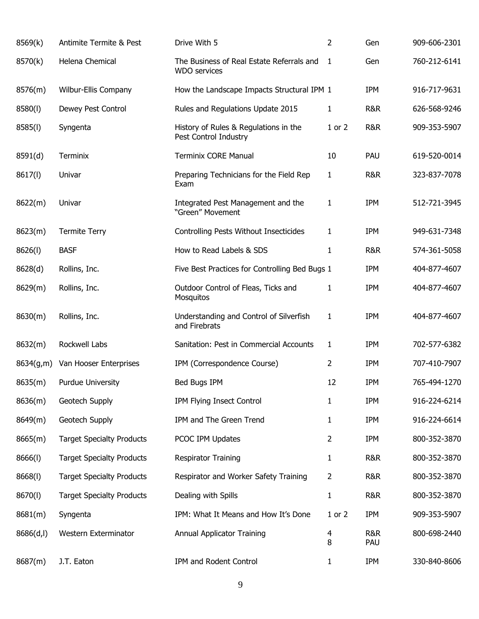| 8569(k)    | Antimite Termite & Pest          | Drive With 5                                                     | 2            | Gen            | 909-606-2301 |
|------------|----------------------------------|------------------------------------------------------------------|--------------|----------------|--------------|
| 8570(k)    | Helena Chemical                  | The Business of Real Estate Referrals and<br><b>WDO</b> services | 1            | Gen            | 760-212-6141 |
| 8576(m)    | Wilbur-Ellis Company             | How the Landscape Impacts Structural IPM 1                       |              | IPM            | 916-717-9631 |
| 8580(l)    | Dewey Pest Control               | Rules and Regulations Update 2015                                | 1            | R&R            | 626-568-9246 |
| 8585(l)    | Syngenta                         | History of Rules & Regulations in the<br>Pest Control Industry   | $1$ or $2$   | R&R            | 909-353-5907 |
| 8591(d)    | Terminix                         | <b>Terminix CORE Manual</b>                                      | 10           | PAU            | 619-520-0014 |
| 8617(l)    | Univar                           | Preparing Technicians for the Field Rep<br>Exam                  | $\mathbf{1}$ | R&R            | 323-837-7078 |
| 8622(m)    | Univar                           | Integrated Pest Management and the<br>"Green" Movement           | 1            | IPM            | 512-721-3945 |
| 8623(m)    | <b>Termite Terry</b>             | Controlling Pests Without Insecticides                           | 1            | <b>IPM</b>     | 949-631-7348 |
| 8626(l)    | <b>BASF</b>                      | How to Read Labels & SDS                                         | 1            | <b>R&amp;R</b> | 574-361-5058 |
| 8628(d)    | Rollins, Inc.                    | Five Best Practices for Controlling Bed Bugs 1                   |              | IPM            | 404-877-4607 |
| 8629(m)    | Rollins, Inc.                    | Outdoor Control of Fleas, Ticks and<br>Mosquitos                 | 1            | IPM            | 404-877-4607 |
| 8630(m)    | Rollins, Inc.                    | Understanding and Control of Silverfish<br>and Firebrats         | 1            | IPM            | 404-877-4607 |
| 8632(m)    | Rockwell Labs                    | Sanitation: Pest in Commercial Accounts                          | 1            | IPM            | 702-577-6382 |
| 8634(g,m)  | Van Hooser Enterprises           | IPM (Correspondence Course)                                      | 2            | IPM            | 707-410-7907 |
| 8635(m)    | Purdue University                | Bed Bugs IPM                                                     | 12           | <b>IPM</b>     | 765-494-1270 |
| 8636(m)    | Geotech Supply                   | IPM Flying Insect Control                                        | 1            | IPM            | 916-224-6214 |
| 8649(m)    | Geotech Supply                   | IPM and The Green Trend                                          | 1            | IPM            | 916-224-6614 |
| 8665(m)    | <b>Target Specialty Products</b> | PCOC IPM Updates                                                 | 2            | IPM            | 800-352-3870 |
| 8666(1)    | <b>Target Specialty Products</b> | <b>Respirator Training</b>                                       | 1            | R&R            | 800-352-3870 |
| 8668(l)    | <b>Target Specialty Products</b> | Respirator and Worker Safety Training                            | 2            | R&R            | 800-352-3870 |
| 8670(l)    | <b>Target Specialty Products</b> | Dealing with Spills                                              | 1            | R&R            | 800-352-3870 |
| 8681(m)    | Syngenta                         | IPM: What It Means and How It's Done                             | 1 or 2       | IPM            | 909-353-5907 |
| 8686(d, I) | Western Exterminator             | Annual Applicator Training                                       | 4<br>8       | R&R<br>PAU     | 800-698-2440 |
| 8687(m)    | J.T. Eaton                       | IPM and Rodent Control                                           | 1            | IPM            | 330-840-8606 |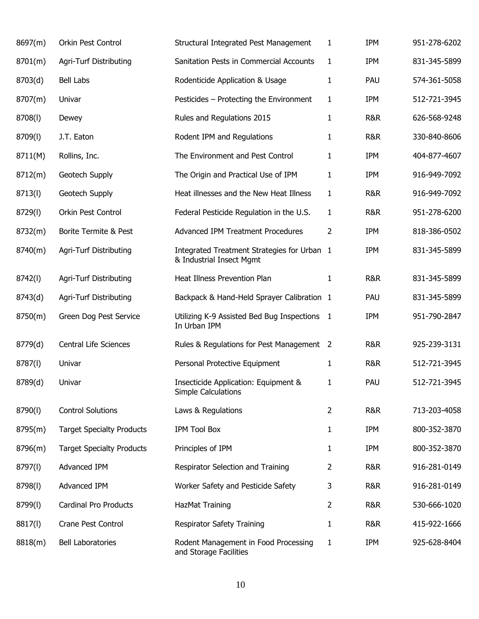| 8697(m) | Orkin Pest Control               | Structural Integrated Pest Management                                   | 1 | <b>IPM</b> | 951-278-6202 |
|---------|----------------------------------|-------------------------------------------------------------------------|---|------------|--------------|
| 8701(m) | <b>Agri-Turf Distributing</b>    | Sanitation Pests in Commercial Accounts                                 | 1 | <b>IPM</b> | 831-345-5899 |
| 8703(d) | Bell Labs                        | Rodenticide Application & Usage                                         | 1 | PAU        | 574-361-5058 |
| 8707(m) | Univar                           | Pesticides - Protecting the Environment                                 | 1 | <b>IPM</b> | 512-721-3945 |
| 8708(l) | Dewey                            | Rules and Regulations 2015                                              | 1 | R&R        | 626-568-9248 |
| 8709(l) | J.T. Eaton                       | Rodent IPM and Regulations                                              | 1 | R&R        | 330-840-8606 |
| 8711(M) | Rollins, Inc.                    | The Environment and Pest Control                                        | 1 | <b>IPM</b> | 404-877-4607 |
| 8712(m) | Geotech Supply                   | The Origin and Practical Use of IPM                                     | 1 | <b>IPM</b> | 916-949-7092 |
| 8713(l) | Geotech Supply                   | Heat illnesses and the New Heat Illness                                 | 1 | R&R        | 916-949-7092 |
| 8729(l) | Orkin Pest Control               | Federal Pesticide Regulation in the U.S.                                | 1 | R&R        | 951-278-6200 |
| 8732(m) | Borite Termite & Pest            | <b>Advanced IPM Treatment Procedures</b>                                | 2 | <b>IPM</b> | 818-386-0502 |
| 8740(m) | <b>Agri-Turf Distributing</b>    | Integrated Treatment Strategies for Urban 1<br>& Industrial Insect Mgmt |   | <b>IPM</b> | 831-345-5899 |
| 8742(l) | Agri-Turf Distributing           | Heat Illness Prevention Plan                                            | 1 | R&R        | 831-345-5899 |
| 8743(d) | <b>Agri-Turf Distributing</b>    | Backpack & Hand-Held Sprayer Calibration 1                              |   | PAU        | 831-345-5899 |
| 8750(m) | Green Dog Pest Service           | Utilizing K-9 Assisted Bed Bug Inspections 1<br>In Urban IPM            |   | IPM        | 951-790-2847 |
| 8779(d) | Central Life Sciences            | Rules & Regulations for Pest Management 2                               |   | R&R        | 925-239-3131 |
| 8787(I) | Univar                           | Personal Protective Equipment                                           | 1 | R&R        | 512-721-3945 |
| 8789(d) | Univar                           | Insecticide Application: Equipment &<br>Simple Calculations             | 1 | PAU        | 512-721-3945 |
| 8790(l) | <b>Control Solutions</b>         | Laws & Regulations                                                      | 2 | R&R        | 713-203-4058 |
| 8795(m) | <b>Target Specialty Products</b> | <b>IPM Tool Box</b>                                                     | 1 | <b>IPM</b> | 800-352-3870 |
| 8796(m) | <b>Target Specialty Products</b> | Principles of IPM                                                       | 1 | <b>IPM</b> | 800-352-3870 |
| 8797(l) | Advanced IPM                     | Respirator Selection and Training                                       | 2 | R&R        | 916-281-0149 |
| 8798(l) | Advanced IPM                     | Worker Safety and Pesticide Safety                                      | 3 | R&R        | 916-281-0149 |
| 8799(l) | Cardinal Pro Products            | HazMat Training                                                         | 2 | R&R        | 530-666-1020 |
| 8817(l) | Crane Pest Control               | <b>Respirator Safety Training</b>                                       | 1 | R&R        | 415-922-1666 |
| 8818(m) | <b>Bell Laboratories</b>         | Rodent Management in Food Processing<br>and Storage Facilities          | 1 | <b>IPM</b> | 925-628-8404 |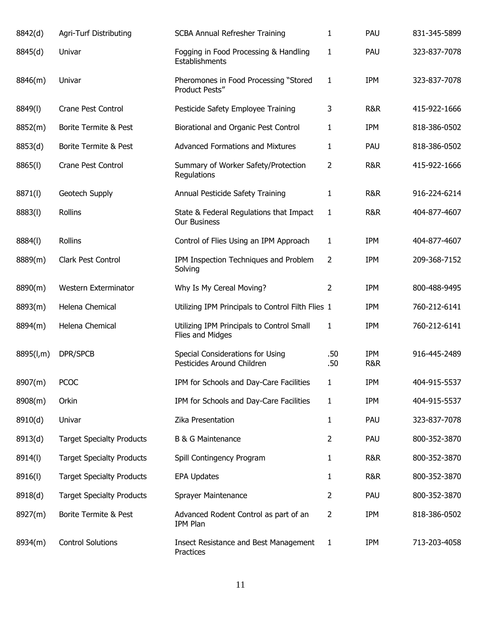| 8842(d)   | Agri-Turf Distributing           | <b>SCBA Annual Refresher Training</b>                          | 1            | PAU                          | 831-345-5899 |
|-----------|----------------------------------|----------------------------------------------------------------|--------------|------------------------------|--------------|
| 8845(d)   | Univar                           | Fogging in Food Processing & Handling<br>Establishments        | 1            | PAU                          | 323-837-7078 |
| 8846(m)   | Univar                           | Pheromones in Food Processing "Stored<br>Product Pests"        | 1            | <b>IPM</b>                   | 323-837-7078 |
| 8849(I)   | <b>Crane Pest Control</b>        | Pesticide Safety Employee Training                             | 3            | R&R                          | 415-922-1666 |
| 8852(m)   | Borite Termite & Pest            | Biorational and Organic Pest Control                           | 1            | <b>IPM</b>                   | 818-386-0502 |
| 8853(d)   | Borite Termite & Pest            | <b>Advanced Formations and Mixtures</b>                        | 1            | PAU                          | 818-386-0502 |
| 8865(l)   | Crane Pest Control               | Summary of Worker Safety/Protection<br>Regulations             | 2            | R&R                          | 415-922-1666 |
| 8871(l)   | Geotech Supply                   | Annual Pesticide Safety Training                               | 1            | R&R                          | 916-224-6214 |
| 8883(l)   | <b>Rollins</b>                   | State & Federal Regulations that Impact<br><b>Our Business</b> | $\mathbf{1}$ | R&R                          | 404-877-4607 |
| 8884(I)   | <b>Rollins</b>                   | Control of Flies Using an IPM Approach                         | 1            | <b>IPM</b>                   | 404-877-4607 |
| 8889(m)   | Clark Pest Control               | IPM Inspection Techniques and Problem<br>Solving               | 2            | <b>IPM</b>                   | 209-368-7152 |
| 8890(m)   | Western Exterminator             | Why Is My Cereal Moving?                                       | 2            | <b>IPM</b>                   | 800-488-9495 |
| 8893(m)   | Helena Chemical                  | Utilizing IPM Principals to Control Filth Flies 1              |              | <b>IPM</b>                   | 760-212-6141 |
| 8894(m)   | Helena Chemical                  | Utilizing IPM Principals to Control Small<br>Flies and Midges  | 1            | <b>IPM</b>                   | 760-212-6141 |
| 8895(l,m) | DPR/SPCB                         | Special Considerations for Using<br>Pesticides Around Children | .50<br>.50   | <b>IPM</b><br><b>R&amp;R</b> | 916-445-2489 |
| 8907(m)   | <b>PCOC</b>                      | IPM for Schools and Day-Care Facilities                        | 1            | <b>IPM</b>                   | 404-915-5537 |
| 8908(m)   | Orkin                            | IPM for Schools and Day-Care Facilities                        | 1            | <b>IPM</b>                   | 404-915-5537 |
| 8910(d)   | Univar                           | Zika Presentation                                              | 1            | PAU                          | 323-837-7078 |
| 8913(d)   | <b>Target Specialty Products</b> | <b>B &amp; G Maintenance</b>                                   | 2            | PAU                          | 800-352-3870 |
| 8914(l)   | <b>Target Specialty Products</b> | Spill Contingency Program                                      | 1            | <b>R&amp;R</b>               | 800-352-3870 |
| 8916(l)   | <b>Target Specialty Products</b> | <b>EPA Updates</b>                                             | 1            | R&R                          | 800-352-3870 |
| 8918(d)   | <b>Target Specialty Products</b> | Sprayer Maintenance                                            | 2            | PAU                          | 800-352-3870 |
| 8927(m)   | Borite Termite & Pest            | Advanced Rodent Control as part of an<br>IPM Plan              | 2            | <b>IPM</b>                   | 818-386-0502 |
| 8934(m)   | <b>Control Solutions</b>         | Insect Resistance and Best Management<br>Practices             | 1            | <b>IPM</b>                   | 713-203-4058 |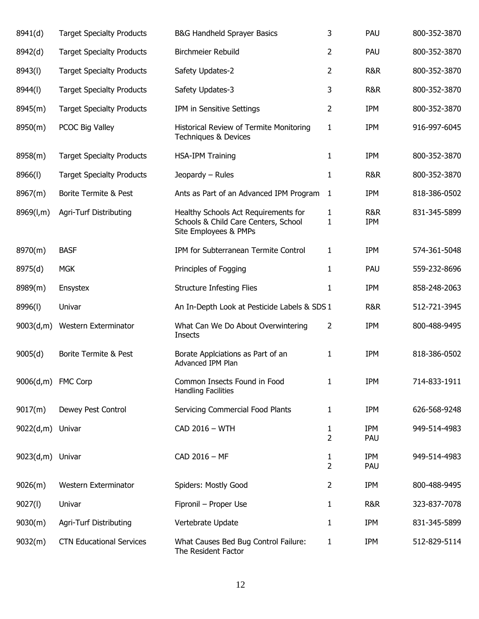| 8941(d)            | <b>Target Specialty Products</b> | B&G Handheld Sprayer Basics                                                                           | 3                 | PAU                          | 800-352-3870 |
|--------------------|----------------------------------|-------------------------------------------------------------------------------------------------------|-------------------|------------------------------|--------------|
| 8942(d)            | <b>Target Specialty Products</b> | Birchmeier Rebuild                                                                                    | 2                 | PAU                          | 800-352-3870 |
| 8943(l)            | <b>Target Specialty Products</b> | Safety Updates-2                                                                                      | 2                 | <b>R&amp;R</b>               | 800-352-3870 |
| 8944(I)            | <b>Target Specialty Products</b> | Safety Updates-3                                                                                      | 3                 | <b>R&amp;R</b>               | 800-352-3870 |
| 8945(m)            | <b>Target Specialty Products</b> | IPM in Sensitive Settings                                                                             | 2                 | <b>IPM</b>                   | 800-352-3870 |
| 8950(m)            | PCOC Big Valley                  | Historical Review of Termite Monitoring<br>Techniques & Devices                                       | 1                 | <b>IPM</b>                   | 916-997-6045 |
| 8958(m)            | <b>Target Specialty Products</b> | <b>HSA-IPM Training</b>                                                                               | 1                 | <b>IPM</b>                   | 800-352-3870 |
| 8966(I)            | <b>Target Specialty Products</b> | Jeopardy - Rules                                                                                      | 1                 | <b>R&amp;R</b>               | 800-352-3870 |
| 8967(m)            | Borite Termite & Pest            | Ants as Part of an Advanced IPM Program                                                               | $\mathbf{1}$      | <b>IPM</b>                   | 818-386-0502 |
| 8969(l,m)          | Agri-Turf Distributing           | Healthy Schools Act Requirements for<br>Schools & Child Care Centers, School<br>Site Employees & PMPs | 1<br>$\mathbf{1}$ | <b>R&amp;R</b><br><b>IPM</b> | 831-345-5899 |
| 8970(m)            | <b>BASF</b>                      | IPM for Subterranean Termite Control                                                                  | 1                 | <b>IPM</b>                   | 574-361-5048 |
| 8975(d)            | <b>MGK</b>                       | Principles of Fogging                                                                                 | 1                 | PAU                          | 559-232-8696 |
| 8989(m)            | Ensystex                         | <b>Structure Infesting Flies</b>                                                                      | 1                 | <b>IPM</b>                   | 858-248-2063 |
| 8996(l)            | Univar                           | An In-Depth Look at Pesticide Labels & SDS 1                                                          |                   | <b>R&amp;R</b>               | 512-721-3945 |
| 9003(d,m)          | Western Exterminator             | What Can We Do About Overwintering<br>Insects                                                         | 2                 | <b>IPM</b>                   | 800-488-9495 |
| 9005(d)            | Borite Termite & Pest            | Borate Applciations as Part of an<br>Advanced IPM Plan                                                | 1                 | <b>IPM</b>                   | 818-386-0502 |
| 9006(d,m) FMC Corp |                                  | Common Insects Found in Food<br><b>Handling Facilities</b>                                            | 1                 | <b>IPM</b>                   | 714-833-1911 |
| 9017(m)            | Dewey Pest Control               | Servicing Commercial Food Plants                                                                      | 1                 | <b>IPM</b>                   | 626-568-9248 |
| 9022(d,m) Univar   |                                  | CAD 2016 - WTH                                                                                        | 1<br>2            | <b>IPM</b><br>PAU            | 949-514-4983 |
| 9023(d,m)          | Univar                           | CAD 2016 - MF                                                                                         | 1<br>2            | <b>IPM</b><br>PAU            | 949-514-4983 |
| 9026(m)            | Western Exterminator             | Spiders: Mostly Good                                                                                  | 2                 | <b>IPM</b>                   | 800-488-9495 |
| 9027(1)            | Univar                           | Fipronil - Proper Use                                                                                 | 1                 | R&R                          | 323-837-7078 |
| 9030(m)            | Agri-Turf Distributing           | Vertebrate Update                                                                                     | 1                 | <b>IPM</b>                   | 831-345-5899 |
| 9032(m)            | <b>CTN Educational Services</b>  | What Causes Bed Bug Control Failure:<br>The Resident Factor                                           | 1                 | <b>IPM</b>                   | 512-829-5114 |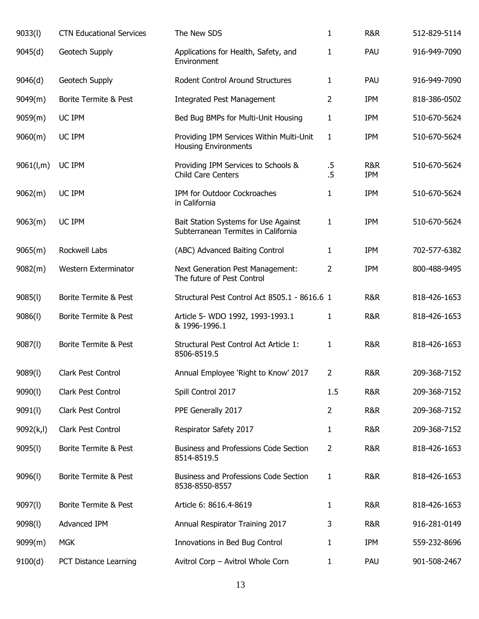| 9033(l)    | <b>CTN Educational Services</b> | The New SDS                                                                 | 1                | <b>R&amp;R</b>               | 512-829-5114 |
|------------|---------------------------------|-----------------------------------------------------------------------------|------------------|------------------------------|--------------|
| 9045(d)    | Geotech Supply                  | Applications for Health, Safety, and<br>Environment                         | 1                | PAU                          | 916-949-7090 |
| 9046(d)    | Geotech Supply                  | Rodent Control Around Structures                                            | 1                | PAU                          | 916-949-7090 |
| 9049(m)    | Borite Termite & Pest           | <b>Integrated Pest Management</b>                                           | 2                | <b>IPM</b>                   | 818-386-0502 |
| 9059(m)    | UC IPM                          | Bed Bug BMPs for Multi-Unit Housing                                         | 1                | <b>IPM</b>                   | 510-670-5624 |
| 9060(m)    | UC IPM                          | Providing IPM Services Within Multi-Unit<br><b>Housing Environments</b>     | $\mathbf{1}$     | IPM                          | 510-670-5624 |
| 9061(l,m)  | UC IPM                          | Providing IPM Services to Schools &<br><b>Child Care Centers</b>            | $.5\,$<br>$.5\,$ | <b>R&amp;R</b><br><b>IPM</b> | 510-670-5624 |
| 9062(m)    | UC IPM                          | IPM for Outdoor Cockroaches<br>in California                                | 1                | IPM                          | 510-670-5624 |
| 9063(m)    | UC IPM                          | Bait Station Systems for Use Against<br>Subterranean Termites in California | 1                | <b>IPM</b>                   | 510-670-5624 |
| 9065(m)    | Rockwell Labs                   | (ABC) Advanced Baiting Control                                              | 1                | <b>IPM</b>                   | 702-577-6382 |
| 9082(m)    | Western Exterminator            | Next Generation Pest Management:<br>The future of Pest Control              | 2                | IPM                          | 800-488-9495 |
| 9085(1)    | Borite Termite & Pest           | Structural Pest Control Act 8505.1 - 8616.6 1                               |                  | <b>R&amp;R</b>               | 818-426-1653 |
| 9086(1)    | Borite Termite & Pest           | Article 5- WDO 1992, 1993-1993.1<br>& 1996-1996.1                           | 1                | <b>R&amp;R</b>               | 818-426-1653 |
| 9087(l)    | Borite Termite & Pest           | Structural Pest Control Act Article 1:<br>8506-8519.5                       | 1                | <b>R&amp;R</b>               | 818-426-1653 |
| 9089(l)    | Clark Pest Control              | Annual Employee 'Right to Know' 2017                                        | 2                | R&R                          | 209-368-7152 |
| 9090(l)    | Clark Pest Control              | Spill Control 2017                                                          | 1.5              | <b>R&amp;R</b>               | 209-368-7152 |
| 9091(1)    | Clark Pest Control              | PPE Generally 2017                                                          | $\overline{2}$   | R&R                          | 209-368-7152 |
| 9092(k, l) | Clark Pest Control              | Respirator Safety 2017                                                      | 1                | R&R                          | 209-368-7152 |
| 9095(1)    | Borite Termite & Pest           | Business and Professions Code Section<br>8514-8519.5                        | 2                | R&R                          | 818-426-1653 |
| 9096(l)    | Borite Termite & Pest           | <b>Business and Professions Code Section</b><br>8538-8550-8557              | 1                | R&R                          | 818-426-1653 |
| 9097(l)    | Borite Termite & Pest           | Article 6: 8616.4-8619                                                      | 1                | R&R                          | 818-426-1653 |
| 9098(l)    | Advanced IPM                    | Annual Respirator Training 2017                                             | 3                | R&R                          | 916-281-0149 |
| 9099(m)    | <b>MGK</b>                      | Innovations in Bed Bug Control                                              | 1                | IPM                          | 559-232-8696 |
| 9100(d)    | PCT Distance Learning           | Avitrol Corp - Avitrol Whole Corn                                           | 1                | PAU                          | 901-508-2467 |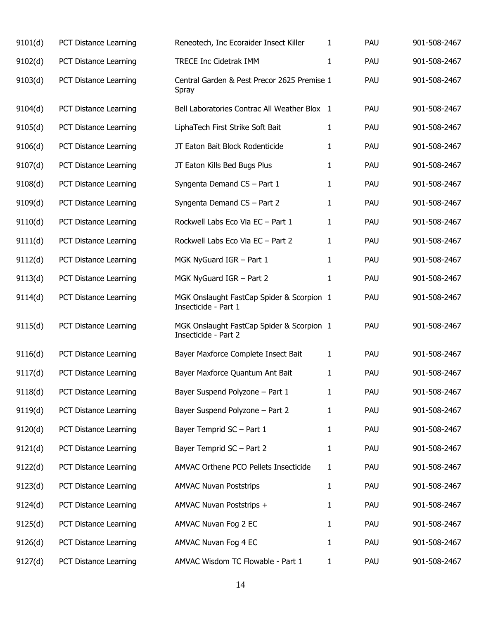| 9101(d) | PCT Distance Learning | Reneotech, Inc Ecoraider Insect Killer                            | 1            | PAU | 901-508-2467 |
|---------|-----------------------|-------------------------------------------------------------------|--------------|-----|--------------|
| 9102(d) | PCT Distance Learning | TRECE Inc Cidetrak IMM                                            | 1            | PAU | 901-508-2467 |
| 9103(d) | PCT Distance Learning | Central Garden & Pest Precor 2625 Premise 1<br>Spray              |              | PAU | 901-508-2467 |
| 9104(d) | PCT Distance Learning | Bell Laboratories Contrac All Weather Blox 1                      |              | PAU | 901-508-2467 |
| 9105(d) | PCT Distance Learning | LiphaTech First Strike Soft Bait                                  | 1            | PAU | 901-508-2467 |
| 9106(d) | PCT Distance Learning | JT Eaton Bait Block Rodenticide                                   | 1            | PAU | 901-508-2467 |
| 9107(d) | PCT Distance Learning | JT Eaton Kills Bed Bugs Plus                                      | 1            | PAU | 901-508-2467 |
| 9108(d) | PCT Distance Learning | Syngenta Demand CS - Part 1                                       | 1            | PAU | 901-508-2467 |
| 9109(d) | PCT Distance Learning | Syngenta Demand CS - Part 2                                       | 1            | PAU | 901-508-2467 |
| 9110(d) | PCT Distance Learning | Rockwell Labs Eco Via EC - Part 1                                 | $\mathbf{1}$ | PAU | 901-508-2467 |
| 9111(d) | PCT Distance Learning | Rockwell Labs Eco Via EC - Part 2                                 | $\mathbf{1}$ | PAU | 901-508-2467 |
| 9112(d) | PCT Distance Learning | MGK NyGuard IGR - Part 1                                          | $\mathbf{1}$ | PAU | 901-508-2467 |
| 9113(d) | PCT Distance Learning | MGK NyGuard IGR - Part 2                                          | $\mathbf{1}$ | PAU | 901-508-2467 |
| 9114(d) | PCT Distance Learning | MGK Onslaught FastCap Spider & Scorpion 1<br>Insecticide - Part 1 |              | PAU | 901-508-2467 |
| 9115(d) | PCT Distance Learning | MGK Onslaught FastCap Spider & Scorpion 1<br>Insecticide - Part 2 |              | PAU | 901-508-2467 |
| 9116(d) | PCT Distance Learning | Bayer Maxforce Complete Insect Bait                               | $\mathbf{1}$ | PAU | 901-508-2467 |
| 9117(d) | PCT Distance Learning | Bayer Maxforce Quantum Ant Bait                                   | 1            | PAU | 901-508-2467 |
| 9118(d) | PCT Distance Learning | Bayer Suspend Polyzone - Part 1                                   | 1            | PAU | 901-508-2467 |
| 9119(d) | PCT Distance Learning | Bayer Suspend Polyzone - Part 2                                   | 1            | PAU | 901-508-2467 |
| 9120(d) | PCT Distance Learning | Bayer Temprid SC - Part 1                                         | 1            | PAU | 901-508-2467 |
| 9121(d) | PCT Distance Learning | Bayer Temprid SC - Part 2                                         | 1            | PAU | 901-508-2467 |
| 9122(d) | PCT Distance Learning | AMVAC Orthene PCO Pellets Insecticide                             | 1            | PAU | 901-508-2467 |
| 9123(d) | PCT Distance Learning | <b>AMVAC Nuvan Poststrips</b>                                     | 1            | PAU | 901-508-2467 |
| 9124(d) | PCT Distance Learning | AMVAC Nuvan Poststrips +                                          | 1            | PAU | 901-508-2467 |
| 9125(d) | PCT Distance Learning | AMVAC Nuvan Fog 2 EC                                              | 1            | PAU | 901-508-2467 |
| 9126(d) | PCT Distance Learning | AMVAC Nuvan Fog 4 EC                                              | 1            | PAU | 901-508-2467 |
| 9127(d) | PCT Distance Learning | AMVAC Wisdom TC Flowable - Part 1                                 | $\mathbf{1}$ | PAU | 901-508-2467 |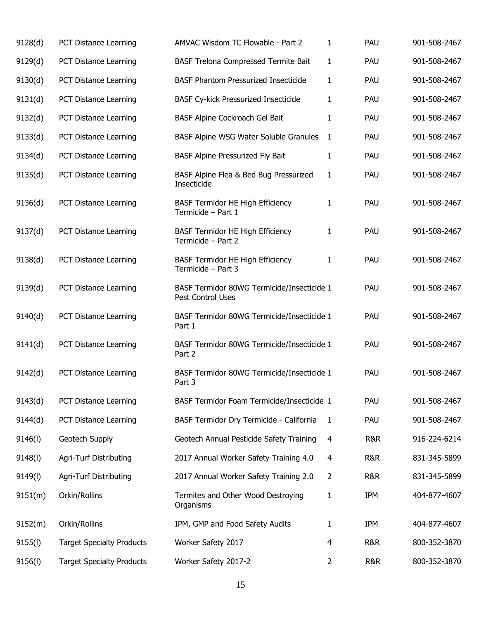| 9128(d) | PCT Distance Learning            | AMVAC Wisdom TC Flowable - Part 2                               | 1              | PAU        | 901-508-2467 |
|---------|----------------------------------|-----------------------------------------------------------------|----------------|------------|--------------|
| 9129(d) | PCT Distance Learning            | BASF Trelona Compressed Termite Bait                            | 1              | PAU        | 901-508-2467 |
| 9130(d) | PCT Distance Learning            | <b>BASF Phantom Pressurized Insecticide</b>                     | $\mathbf{1}$   | PAU        | 901-508-2467 |
| 9131(d) | PCT Distance Learning            | <b>BASF Cy-kick Pressurized Insecticide</b>                     | 1              | PAU        | 901-508-2467 |
| 9132(d) | PCT Distance Learning            | BASF Alpine Cockroach Gel Bait                                  | $\mathbf{1}$   | PAU        | 901-508-2467 |
| 9133(d) | PCT Distance Learning            | BASF Alpine WSG Water Soluble Granules                          | $\mathbf{1}$   | PAU        | 901-508-2467 |
| 9134(d) | PCT Distance Learning            | BASF Alpine Pressurized Fly Bait                                | 1              | PAU        | 901-508-2467 |
| 9135(d) | PCT Distance Learning            | BASF Alpine Flea & Bed Bug Pressurized<br>Insecticide           | $\mathbf{1}$   | PAU        | 901-508-2467 |
| 9136(d) | PCT Distance Learning            | BASF Termidor HE High Efficiency<br>Termicide - Part 1          | 1              | PAU        | 901-508-2467 |
| 9137(d) | PCT Distance Learning            | <b>BASF Termidor HE High Efficiency</b><br>Termicide - Part 2   | $\mathbf{1}$   | PAU        | 901-508-2467 |
| 9138(d) | PCT Distance Learning            | <b>BASF Termidor HE High Efficiency</b><br>Termicide - Part 3   | 1              | PAU        | 901-508-2467 |
| 9139(d) | PCT Distance Learning            | BASF Termidor 80WG Termicide/Insecticide 1<br>Pest Control Uses |                | PAU        | 901-508-2467 |
| 9140(d) | PCT Distance Learning            | BASF Termidor 80WG Termicide/Insecticide 1<br>Part 1            |                | PAU        | 901-508-2467 |
| 9141(d) | PCT Distance Learning            | BASF Termidor 80WG Termicide/Insecticide 1<br>Part 2            |                | PAU        | 901-508-2467 |
| 9142(d) | PCT Distance Learning            | BASF Termidor 80WG Termicide/Insecticide 1<br>Part 3            |                | PAU        | 901-508-2467 |
| 9143(d) | PCT Distance Learning            | BASF Termidor Foam Termicide/Insecticide 1                      |                | PAU        | 901-508-2467 |
| 9144(d) | PCT Distance Learning            | BASF Termidor Dry Termicide - California                        | -1             | PAU        | 901-508-2467 |
| 9146(1) | Geotech Supply                   | Geotech Annual Pesticide Safety Training                        | 4              | R&R        | 916-224-6214 |
| 9148(l) | Agri-Turf Distributing           | 2017 Annual Worker Safety Training 4.0                          | 4              | R&R        | 831-345-5899 |
| 9149(l) | Agri-Turf Distributing           | 2017 Annual Worker Safety Training 2.0                          | $\overline{2}$ | R&R        | 831-345-5899 |
| 9151(m) | Orkin/Rollins                    | Termites and Other Wood Destroying<br>Organisms                 | 1              | <b>IPM</b> | 404-877-4607 |
| 9152(m) | Orkin/Rollins                    | IPM, GMP and Food Safety Audits                                 | 1              | <b>IPM</b> | 404-877-4607 |
| 9155(l) | <b>Target Specialty Products</b> | Worker Safety 2017                                              | 4              | R&R        | 800-352-3870 |
| 9156(l) | <b>Target Specialty Products</b> | Worker Safety 2017-2                                            | $\overline{2}$ | R&R        | 800-352-3870 |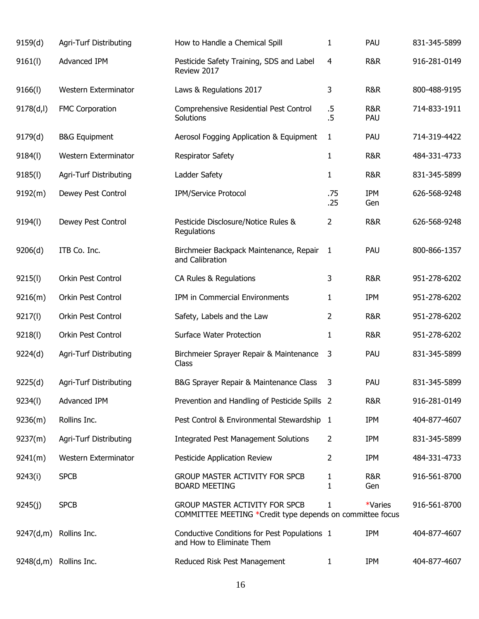| 9159(d)    | <b>Agri-Turf Distributing</b> | How to Handle a Chemical Spill                                                                     | 1                | PAU                   | 831-345-5899 |
|------------|-------------------------------|----------------------------------------------------------------------------------------------------|------------------|-----------------------|--------------|
| 9161(1)    | Advanced IPM                  | Pesticide Safety Training, SDS and Label<br>Review 2017                                            | $\overline{4}$   | <b>R&amp;R</b>        | 916-281-0149 |
| 9166(1)    | Western Exterminator          | Laws & Regulations 2017                                                                            | 3                | <b>R&amp;R</b>        | 800-488-9195 |
| 9178(d, l) | <b>FMC Corporation</b>        | Comprehensive Residential Pest Control<br>Solutions                                                | $.5\,$<br>$.5\,$ | <b>R&amp;R</b><br>PAU | 714-833-1911 |
| 9179(d)    | <b>B&amp;G Equipment</b>      | Aerosol Fogging Application & Equipment                                                            | 1                | PAU                   | 714-319-4422 |
| 9184(l)    | Western Exterminator          | <b>Respirator Safety</b>                                                                           | $\mathbf{1}$     | <b>R&amp;R</b>        | 484-331-4733 |
| 9185(l)    | Agri-Turf Distributing        | Ladder Safety                                                                                      | $\mathbf{1}$     | <b>R&amp;R</b>        | 831-345-5899 |
| 9192(m)    | Dewey Pest Control            | IPM/Service Protocol                                                                               | .75<br>.25       | IPM<br>Gen            | 626-568-9248 |
| 9194(I)    | Dewey Pest Control            | Pesticide Disclosure/Notice Rules &<br>Regulations                                                 | 2                | <b>R&amp;R</b>        | 626-568-9248 |
| 9206(d)    | ITB Co. Inc.                  | Birchmeier Backpack Maintenance, Repair<br>and Calibration                                         | 1                | PAU                   | 800-866-1357 |
| 9215(l)    | Orkin Pest Control            | CA Rules & Regulations                                                                             | 3                | <b>R&amp;R</b>        | 951-278-6202 |
| 9216(m)    | Orkin Pest Control            | IPM in Commercial Environments                                                                     | 1                | <b>IPM</b>            | 951-278-6202 |
| 9217(l)    | Orkin Pest Control            | Safety, Labels and the Law                                                                         | 2                | <b>R&amp;R</b>        | 951-278-6202 |
| 9218(l)    | Orkin Pest Control            | <b>Surface Water Protection</b>                                                                    | 1                | <b>R&amp;R</b>        | 951-278-6202 |
| 9224(d)    | Agri-Turf Distributing        | Birchmeier Sprayer Repair & Maintenance<br>Class                                                   | 3                | PAU                   | 831-345-5899 |
| 9225(d)    | Agri-Turf Distributing        | B&G Sprayer Repair & Maintenance Class                                                             | 3                | PAU                   | 831-345-5899 |
| 9234(l)    | Advanced IPM                  | Prevention and Handling of Pesticide Spills 2                                                      |                  | <b>R&amp;R</b>        | 916-281-0149 |
| 9236(m)    | Rollins Inc.                  | Pest Control & Environmental Stewardship 1                                                         |                  | <b>IPM</b>            | 404-877-4607 |
| 9237(m)    | <b>Agri-Turf Distributing</b> | <b>Integrated Pest Management Solutions</b>                                                        | $\overline{2}$   | IPM                   | 831-345-5899 |
| 9241(m)    | Western Exterminator          | Pesticide Application Review                                                                       | 2                | IPM                   | 484-331-4733 |
| 9243(i)    | <b>SPCB</b>                   | <b>GROUP MASTER ACTIVITY FOR SPCB</b><br><b>BOARD MEETING</b>                                      | 1<br>1           | R&R<br>Gen            | 916-561-8700 |
| 9245(j)    | <b>SPCB</b>                   | <b>GROUP MASTER ACTIVITY FOR SPCB</b><br>COMMITTEE MEETING *Credit type depends on committee focus | 1                | *Varies               | 916-561-8700 |
| 9247(d,m)  | Rollins Inc.                  | Conductive Conditions for Pest Populations 1<br>and How to Eliminate Them                          |                  | IPM                   | 404-877-4607 |
| 9248(d,m)  | Rollins Inc.                  | Reduced Risk Pest Management                                                                       | $\mathbf{1}$     | IPM                   | 404-877-4607 |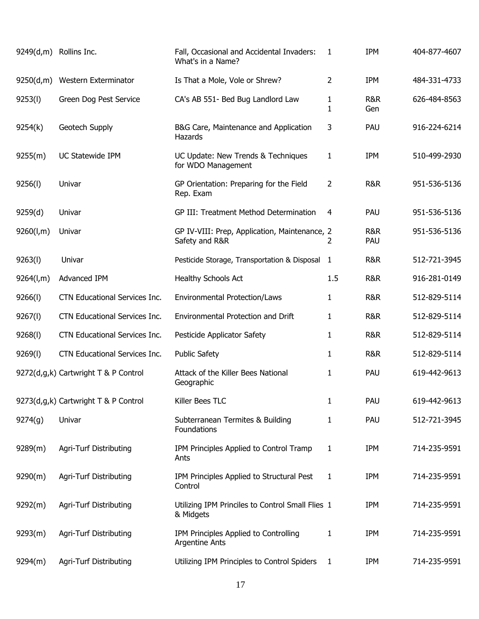|           | 9249(d,m) Rollins Inc.               | Fall, Occasional and Accidental Invaders:<br>What's in a Name?  | 1                 | <b>IPM</b>     | 404-877-4607 |
|-----------|--------------------------------------|-----------------------------------------------------------------|-------------------|----------------|--------------|
| 9250(d,m) | Western Exterminator                 | Is That a Mole, Vole or Shrew?                                  | 2                 | <b>IPM</b>     | 484-331-4733 |
| 9253(l)   | Green Dog Pest Service               | CA's AB 551- Bed Bug Landlord Law                               | 1<br>$\mathbf{1}$ | R&R<br>Gen     | 626-484-8563 |
| 9254(k)   | Geotech Supply                       | B&G Care, Maintenance and Application<br>Hazards                | 3                 | PAU            | 916-224-6214 |
| 9255(m)   | UC Statewide IPM                     | UC Update: New Trends & Techniques<br>for WDO Management        | 1                 | <b>IPM</b>     | 510-499-2930 |
| 9256(l)   | Univar                               | GP Orientation: Preparing for the Field<br>Rep. Exam            | 2                 | <b>R&amp;R</b> | 951-536-5136 |
| 9259(d)   | Univar                               | GP III: Treatment Method Determination                          | 4                 | PAU            | 951-536-5136 |
| 9260(l,m) | Univar                               | GP IV-VIII: Prep, Application, Maintenance, 2<br>Safety and R&R | 2                 | R&R<br>PAU     | 951-536-5136 |
| 9263(l)   | Univar                               | Pesticide Storage, Transportation & Disposal                    | $\mathbf{1}$      | <b>R&amp;R</b> | 512-721-3945 |
| 9264(l,m) | Advanced IPM                         | Healthy Schools Act                                             | 1.5               | <b>R&amp;R</b> | 916-281-0149 |
| 9266(l)   | CTN Educational Services Inc.        | <b>Environmental Protection/Laws</b>                            | 1                 | <b>R&amp;R</b> | 512-829-5114 |
| 9267(l)   | CTN Educational Services Inc.        | Environmental Protection and Drift                              | 1                 | <b>R&amp;R</b> | 512-829-5114 |
| 9268(1)   | CTN Educational Services Inc.        | Pesticide Applicator Safety                                     | 1                 | <b>R&amp;R</b> | 512-829-5114 |
| 9269(l)   | CTN Educational Services Inc.        | <b>Public Safety</b>                                            | 1                 | <b>R&amp;R</b> | 512-829-5114 |
|           | 9272(d,g,k) Cartwright T & P Control | Attack of the Killer Bees National<br>Geographic                | 1                 | PAU            | 619-442-9613 |
|           | 9273(d,g,k) Cartwright T & P Control | Killer Bees TLC                                                 | 1                 | PAU            | 619-442-9613 |
| 9274(g)   | Univar                               | Subterranean Termites & Building<br>Foundations                 | 1                 | PAU            | 512-721-3945 |
| 9289(m)   | <b>Agri-Turf Distributing</b>        | IPM Principles Applied to Control Tramp<br>Ants                 | 1                 | <b>IPM</b>     | 714-235-9591 |
| 9290(m)   | <b>Agri-Turf Distributing</b>        | IPM Principles Applied to Structural Pest<br>Control            | 1                 | <b>IPM</b>     | 714-235-9591 |
| 9292(m)   | Agri-Turf Distributing               | Utilizing IPM Princiles to Control Small Flies 1<br>& Midgets   |                   | <b>IPM</b>     | 714-235-9591 |
| 9293(m)   | Agri-Turf Distributing               | IPM Principles Applied to Controlling<br><b>Argentine Ants</b>  | 1                 | <b>IPM</b>     | 714-235-9591 |
| 9294(m)   | Agri-Turf Distributing               | Utilizing IPM Principles to Control Spiders                     | 1                 | <b>IPM</b>     | 714-235-9591 |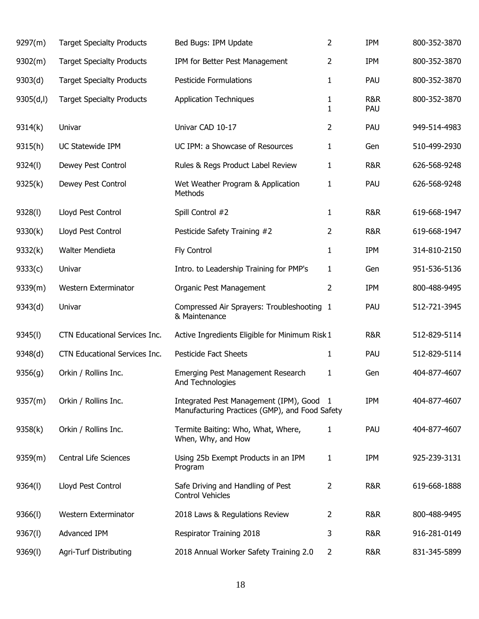| 9297(m)    | <b>Target Specialty Products</b> | Bed Bugs: IPM Update                                                                     | 2              | <b>IPM</b>            | 800-352-3870 |
|------------|----------------------------------|------------------------------------------------------------------------------------------|----------------|-----------------------|--------------|
| 9302(m)    | <b>Target Specialty Products</b> | IPM for Better Pest Management                                                           | 2              | <b>IPM</b>            | 800-352-3870 |
| 9303(d)    | <b>Target Specialty Products</b> | <b>Pesticide Formulations</b>                                                            | 1              | PAU                   | 800-352-3870 |
| 9305(d, I) | <b>Target Specialty Products</b> | <b>Application Techniques</b>                                                            | 1<br>1         | <b>R&amp;R</b><br>PAU | 800-352-3870 |
| 9314(k)    | Univar                           | Univar CAD 10-17                                                                         | 2              | PAU                   | 949-514-4983 |
| 9315(h)    | UC Statewide IPM                 | UC IPM: a Showcase of Resources                                                          | 1              | Gen                   | 510-499-2930 |
| 9324(l)    | Dewey Pest Control               | Rules & Regs Product Label Review                                                        | 1              | R&R                   | 626-568-9248 |
| 9325(k)    | Dewey Pest Control               | Wet Weather Program & Application<br>Methods                                             | 1              | PAU                   | 626-568-9248 |
| 9328(l)    | Lloyd Pest Control               | Spill Control #2                                                                         | 1              | R&R                   | 619-668-1947 |
| 9330(k)    | Lloyd Pest Control               | Pesticide Safety Training #2                                                             | 2              | R&R                   | 619-668-1947 |
| 9332(k)    | <b>Walter Mendieta</b>           | Fly Control                                                                              | 1              | IPM                   | 314-810-2150 |
| 9333(c)    | Univar                           | Intro. to Leadership Training for PMP's                                                  | 1              | Gen                   | 951-536-5136 |
| 9339(m)    | Western Exterminator             | Organic Pest Management                                                                  | 2              | <b>IPM</b>            | 800-488-9495 |
| 9343(d)    | Univar                           | Compressed Air Sprayers: Troubleshooting 1<br>& Maintenance                              |                | PAU                   | 512-721-3945 |
| 9345(I)    | CTN Educational Services Inc.    | Active Ingredients Eligible for Minimum Risk 1                                           |                | R&R                   | 512-829-5114 |
| 9348(d)    | CTN Educational Services Inc.    | <b>Pesticide Fact Sheets</b>                                                             | 1              | PAU                   | 512-829-5114 |
| 9356(g)    | Orkin / Rollins Inc.             | Emerging Pest Management Research<br>And Technologies                                    | 1              | Gen                   | 404-877-4607 |
| 9357(m)    | Orkin / Rollins Inc.             | Integrated Pest Management (IPM), Good<br>Manufacturing Practices (GMP), and Food Safety | - 1            | <b>IPM</b>            | 404-877-4607 |
| 9358(k)    | Orkin / Rollins Inc.             | Termite Baiting: Who, What, Where,<br>When, Why, and How                                 | 1              | PAU                   | 404-877-4607 |
| 9359(m)    | Central Life Sciences            | Using 25b Exempt Products in an IPM<br>Program                                           | 1              | <b>IPM</b>            | 925-239-3131 |
| 9364(l)    | Lloyd Pest Control               | Safe Driving and Handling of Pest<br><b>Control Vehicles</b>                             | 2              | <b>R&amp;R</b>        | 619-668-1888 |
| 9366(l)    | Western Exterminator             | 2018 Laws & Regulations Review                                                           | 2              | R&R                   | 800-488-9495 |
| 9367(l)    | Advanced IPM                     | Respirator Training 2018                                                                 | 3              | R&R                   | 916-281-0149 |
| 9369(l)    | <b>Agri-Turf Distributing</b>    | 2018 Annual Worker Safety Training 2.0                                                   | $\overline{2}$ | R&R                   | 831-345-5899 |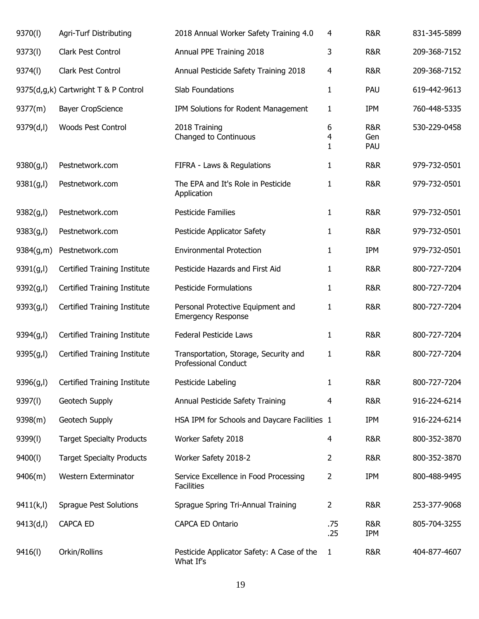| 9370(l)    | Agri-Turf Distributing               | 2018 Annual Worker Safety Training 4.0                               | 4            | R&R               | 831-345-5899 |
|------------|--------------------------------------|----------------------------------------------------------------------|--------------|-------------------|--------------|
| 9373(l)    | Clark Pest Control                   | Annual PPE Training 2018                                             | 3            | R&R               | 209-368-7152 |
| 9374(l)    | Clark Pest Control                   | Annual Pesticide Safety Training 2018                                | 4            | R&R               | 209-368-7152 |
|            | 9375(d,g,k) Cartwright T & P Control | Slab Foundations                                                     | $\mathbf{1}$ | PAU               | 619-442-9613 |
| 9377(m)    | <b>Bayer CropScience</b>             | IPM Solutions for Rodent Management                                  | $\mathbf{1}$ | IPM               | 760-448-5335 |
| 9379(d,l)  | <b>Woods Pest Control</b>            | 2018 Training<br>Changed to Continuous                               | 6<br>4<br>1  | R&R<br>Gen<br>PAU | 530-229-0458 |
| 9380(g, I) | Pestnetwork.com                      | FIFRA - Laws & Regulations                                           | 1            | R&R               | 979-732-0501 |
| 9381(g, I) | Pestnetwork.com                      | The EPA and It's Role in Pesticide<br>Application                    | 1            | R&R               | 979-732-0501 |
| 9382(g, I) | Pestnetwork.com                      | <b>Pesticide Families</b>                                            | 1            | R&R               | 979-732-0501 |
| 9383(g, I) | Pestnetwork.com                      | Pesticide Applicator Safety                                          | $\mathbf{1}$ | R&R               | 979-732-0501 |
| 9384(g,m)  | Pestnetwork.com                      | <b>Environmental Protection</b>                                      | 1            | IPM               | 979-732-0501 |
| 9391(g,l)  | Certified Training Institute         | Pesticide Hazards and First Aid                                      | 1            | R&R               | 800-727-7204 |
| 9392(g,l)  | Certified Training Institute         | <b>Pesticide Formulations</b>                                        | 1            | R&R               | 800-727-7204 |
| 9393(g, I) | Certified Training Institute         | Personal Protective Equipment and<br><b>Emergency Response</b>       | 1            | R&R               | 800-727-7204 |
| 9394(g, I) | Certified Training Institute         | <b>Federal Pesticide Laws</b>                                        | 1            | R&R               | 800-727-7204 |
| 9395(g, I) | Certified Training Institute         | Transportation, Storage, Security and<br><b>Professional Conduct</b> | $\mathbf{1}$ | R&R               | 800-727-7204 |
| 9396(g, I) | Certified Training Institute         | Pesticide Labeling                                                   | 1            | R&R               | 800-727-7204 |
| 9397(l)    | Geotech Supply                       | Annual Pesticide Safety Training                                     | 4            | R&R               | 916-224-6214 |
| 9398(m)    | Geotech Supply                       | HSA IPM for Schools and Daycare Facilities 1                         |              | <b>IPM</b>        | 916-224-6214 |
| 9399(l)    | <b>Target Specialty Products</b>     | Worker Safety 2018                                                   | 4            | R&R               | 800-352-3870 |
| 9400(l)    | <b>Target Specialty Products</b>     | Worker Safety 2018-2                                                 | 2            | R&R               | 800-352-3870 |
| 9406(m)    | Western Exterminator                 | Service Excellence in Food Processing<br><b>Facilities</b>           | 2            | IPM               | 800-488-9495 |
| 9411(k, l) | <b>Sprague Pest Solutions</b>        | Sprague Spring Tri-Annual Training                                   | 2            | R&R               | 253-377-9068 |
| 9413(d,l)  | <b>CAPCA ED</b>                      | CAPCA ED Ontario                                                     | .75<br>.25   | R&R<br><b>IPM</b> | 805-704-3255 |
| 9416(I)    | Orkin/Rollins                        | Pesticide Applicator Safety: A Case of the<br>What If's              | $\mathbf{1}$ | R&R               | 404-877-4607 |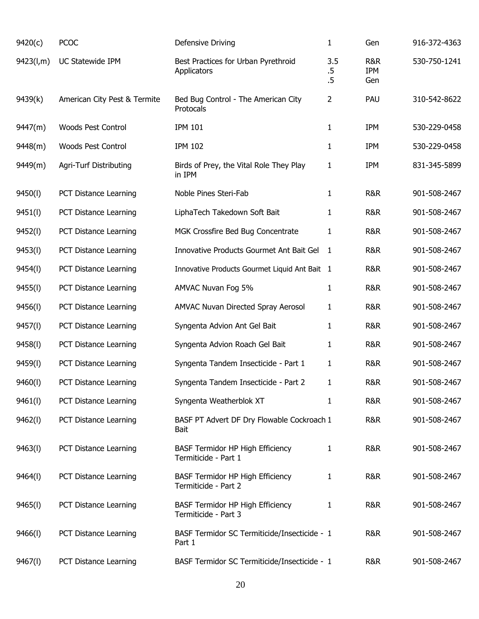| 9420(c)   | <b>PCOC</b>                   | Defensive Driving                                               | $\mathbf{1}$            | Gen               | 916-372-4363 |
|-----------|-------------------------------|-----------------------------------------------------------------|-------------------------|-------------------|--------------|
| 9423(l,m) | UC Statewide IPM              | Best Practices for Urban Pyrethroid<br>Applicators              | 3.5<br>$.5\,$<br>$.5\,$ | R&R<br>IPM<br>Gen | 530-750-1241 |
| 9439(k)   | American City Pest & Termite  | Bed Bug Control - The American City<br>Protocals                | $\overline{2}$          | PAU               | 310-542-8622 |
| 9447(m)   | <b>Woods Pest Control</b>     | <b>IPM 101</b>                                                  | 1                       | <b>IPM</b>        | 530-229-0458 |
| 9448(m)   | <b>Woods Pest Control</b>     | <b>IPM 102</b>                                                  | 1                       | <b>IPM</b>        | 530-229-0458 |
| 9449(m)   | <b>Agri-Turf Distributing</b> | Birds of Prey, the Vital Role They Play<br>in IPM               | 1                       | <b>IPM</b>        | 831-345-5899 |
| 9450(l)   | PCT Distance Learning         | Noble Pines Steri-Fab                                           | $\mathbf{1}$            | R&R               | 901-508-2467 |
| 9451(l)   | PCT Distance Learning         | LiphaTech Takedown Soft Bait                                    | 1                       | R&R               | 901-508-2467 |
| 9452(l)   | PCT Distance Learning         | MGK Crossfire Bed Bug Concentrate                               | 1                       | R&R               | 901-508-2467 |
| 9453(l)   | PCT Distance Learning         | Innovative Products Gourmet Ant Bait Gel                        | 1                       | R&R               | 901-508-2467 |
| 9454(I)   | PCT Distance Learning         | Innovative Products Gourmet Liquid Ant Bait 1                   |                         | R&R               | 901-508-2467 |
| 9455(l)   | PCT Distance Learning         | AMVAC Nuvan Fog 5%                                              | $\mathbf{1}$            | R&R               | 901-508-2467 |
| 9456(l)   | PCT Distance Learning         | AMVAC Nuvan Directed Spray Aerosol                              | $\mathbf{1}$            | R&R               | 901-508-2467 |
| 9457(l)   | PCT Distance Learning         | Syngenta Advion Ant Gel Bait                                    | 1                       | R&R               | 901-508-2467 |
| 9458(l)   | PCT Distance Learning         | Syngenta Advion Roach Gel Bait                                  | 1                       | R&R               | 901-508-2467 |
| 9459(l)   | PCT Distance Learning         | Syngenta Tandem Insecticide - Part 1                            | $\mathbf{1}$            | R&R               | 901-508-2467 |
| 9460(l)   | PCT Distance Learning         | Syngenta Tandem Insecticide - Part 2                            | 1                       | R&R               | 901-508-2467 |
| 9461(l)   | PCT Distance Learning         | Syngenta Weatherblok XT                                         | 1                       | R&R               | 901-508-2467 |
| 9462(l)   | PCT Distance Learning         | BASF PT Advert DF Dry Flowable Cockroach 1<br>Bait              |                         | R&R               | 901-508-2467 |
| 9463(I)   | PCT Distance Learning         | <b>BASF Termidor HP High Efficiency</b><br>Termiticide - Part 1 | 1                       | R&R               | 901-508-2467 |
| 9464(I)   | PCT Distance Learning         | <b>BASF Termidor HP High Efficiency</b><br>Termiticide - Part 2 | 1                       | R&R               | 901-508-2467 |
| 9465(l)   | PCT Distance Learning         | <b>BASF Termidor HP High Efficiency</b><br>Termiticide - Part 3 | 1                       | R&R               | 901-508-2467 |
| 9466(I)   | PCT Distance Learning         | BASF Termidor SC Termiticide/Insecticide - 1<br>Part 1          |                         | R&R               | 901-508-2467 |
| 9467(l)   | PCT Distance Learning         | BASF Termidor SC Termiticide/Insecticide - 1                    |                         | R&R               | 901-508-2467 |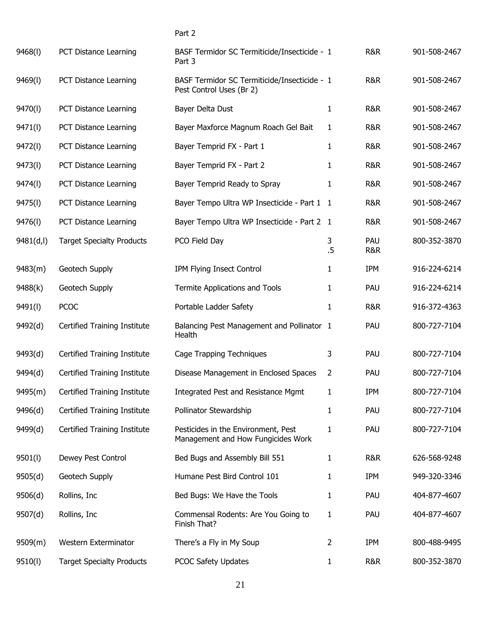| 9468(I)   | PCT Distance Learning            | BASF Termidor SC Termiticide/Insecticide - 1<br>Part 3                    |                | R&R                   | 901-508-2467 |
|-----------|----------------------------------|---------------------------------------------------------------------------|----------------|-----------------------|--------------|
| 9469(I)   | PCT Distance Learning            | BASF Termidor SC Termiticide/Insecticide - 1<br>Pest Control Uses (Br 2)  |                | R&R                   | 901-508-2467 |
| 9470(l)   | PCT Distance Learning            | Bayer Delta Dust                                                          | 1              | R&R                   | 901-508-2467 |
| 9471(l)   | PCT Distance Learning            | Bayer Maxforce Magnum Roach Gel Bait                                      | 1              | R&R                   | 901-508-2467 |
| 9472(I)   | PCT Distance Learning            | Bayer Temprid FX - Part 1                                                 | 1              | R&R                   | 901-508-2467 |
| 9473(I)   | PCT Distance Learning            | Bayer Temprid FX - Part 2                                                 | 1              | R&R                   | 901-508-2467 |
| 9474(I)   | PCT Distance Learning            | Bayer Temprid Ready to Spray                                              | 1              | R&R                   | 901-508-2467 |
| 9475(I)   | PCT Distance Learning            | Bayer Tempo Ultra WP Insecticide - Part 1 1                               |                | R&R                   | 901-508-2467 |
| 9476(I)   | PCT Distance Learning            | Bayer Tempo Ultra WP Insecticide - Part 2 1                               |                | R&R                   | 901-508-2467 |
| 9481(d,l) | <b>Target Specialty Products</b> | PCO Field Day                                                             | 3<br>.5        | PAU<br><b>R&amp;R</b> | 800-352-3870 |
| 9483(m)   | Geotech Supply                   | IPM Flying Insect Control                                                 | 1              | <b>IPM</b>            | 916-224-6214 |
| 9488(k)   | Geotech Supply                   | Termite Applications and Tools                                            | 1              | PAU                   | 916-224-6214 |
| 9491(I)   | <b>PCOC</b>                      | Portable Ladder Safety                                                    | 1              | R&R                   | 916-372-4363 |
| 9492(d)   | Certified Training Institute     | Balancing Pest Management and Pollinator 1<br>Health                      |                | PAU                   | 800-727-7104 |
| 9493(d)   | Certified Training Institute     | Cage Trapping Techniques                                                  | 3              | PAU                   | 800-727-7104 |
| 9494(d)   | Certified Training Institute     | Disease Management in Enclosed Spaces                                     | 2              | PAU                   | 800-727-7104 |
| 9495(m)   | Certified Training Institute     | Integrated Pest and Resistance Mgmt                                       | $\mathbf{1}$   | <b>IPM</b>            | 800-727-7104 |
| 9496(d)   | Certified Training Institute     | Pollinator Stewardship                                                    | 1              | PAU                   | 800-727-7104 |
| 9499(d)   | Certified Training Institute     | Pesticides in the Environment, Pest<br>Management and How Fungicides Work | 1              | PAU                   | 800-727-7104 |
| 9501(l)   | Dewey Pest Control               | Bed Bugs and Assembly Bill 551                                            | 1              | R&R                   | 626-568-9248 |
| 9505(d)   | Geotech Supply                   | Humane Pest Bird Control 101                                              | 1              | <b>IPM</b>            | 949-320-3346 |
| 9506(d)   | Rollins, Inc                     | Bed Bugs: We Have the Tools                                               | 1              | PAU                   | 404-877-4607 |
| 9507(d)   | Rollins, Inc                     | Commensal Rodents: Are You Going to<br>Finish That?                       | 1              | PAU                   | 404-877-4607 |
| 9509(m)   | Western Exterminator             | There's a Fly in My Soup                                                  | $\overline{2}$ | <b>IPM</b>            | 800-488-9495 |

Part 2

$$
\overline{21}
$$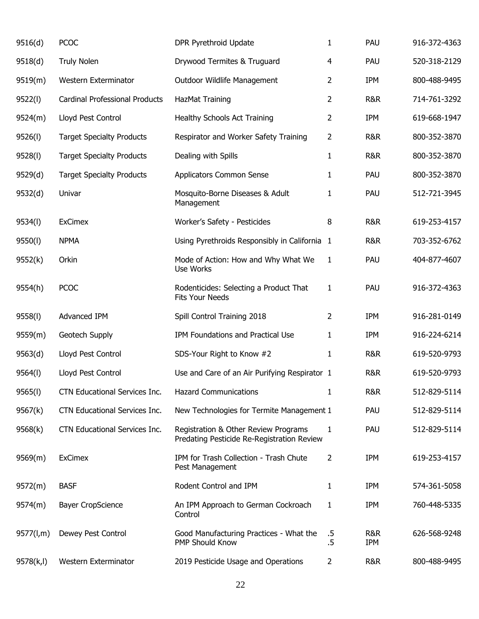| 9516(d)   | <b>PCOC</b>                           | DPR Pyrethroid Update                                                              | 1              | PAU               | 916-372-4363 |
|-----------|---------------------------------------|------------------------------------------------------------------------------------|----------------|-------------------|--------------|
| 9518(d)   | <b>Truly Nolen</b>                    | Drywood Termites & Truguard                                                        | 4              | PAU               | 520-318-2129 |
| 9519(m)   | Western Exterminator                  | Outdoor Wildlife Management                                                        | 2              | IPM               | 800-488-9495 |
| 9522(l)   | <b>Cardinal Professional Products</b> | HazMat Training                                                                    | 2              | <b>R&amp;R</b>    | 714-761-3292 |
| 9524(m)   | Lloyd Pest Control                    | Healthy Schools Act Training                                                       | 2              | IPM               | 619-668-1947 |
| 9526(l)   | <b>Target Specialty Products</b>      | Respirator and Worker Safety Training                                              | $\overline{2}$ | R&R               | 800-352-3870 |
| 9528(l)   | <b>Target Specialty Products</b>      | Dealing with Spills                                                                | $\mathbf{1}$   | R&R               | 800-352-3870 |
| 9529(d)   | <b>Target Specialty Products</b>      | Applicators Common Sense                                                           | $\mathbf{1}$   | PAU               | 800-352-3870 |
| 9532(d)   | Univar                                | Mosquito-Borne Diseases & Adult<br>Management                                      | 1              | PAU               | 512-721-3945 |
| 9534(l)   | <b>ExCimex</b>                        | Worker's Safety - Pesticides                                                       | 8              | <b>R&amp;R</b>    | 619-253-4157 |
| 9550(l)   | <b>NPMA</b>                           | Using Pyrethroids Responsibly in California 1                                      |                | <b>R&amp;R</b>    | 703-352-6762 |
| 9552(k)   | Orkin                                 | Mode of Action: How and Why What We<br>Use Works                                   | $\mathbf{1}$   | PAU               | 404-877-4607 |
| 9554(h)   | <b>PCOC</b>                           | Rodenticides: Selecting a Product That<br>Fits Your Needs                          | 1              | PAU               | 916-372-4363 |
| 9558(l)   | Advanced IPM                          | Spill Control Training 2018                                                        | 2              | IPM               | 916-281-0149 |
| 9559(m)   | Geotech Supply                        | IPM Foundations and Practical Use                                                  | 1              | <b>IPM</b>        | 916-224-6214 |
| 9563(d)   | Lloyd Pest Control                    | SDS-Your Right to Know #2                                                          | $\mathbf{1}$   | <b>R&amp;R</b>    | 619-520-9793 |
| 9564(l)   | Lloyd Pest Control                    | Use and Care of an Air Purifying Respirator 1                                      |                | <b>R&amp;R</b>    | 619-520-9793 |
| 9565(l)   | CTN Educational Services Inc.         | <b>Hazard Communications</b>                                                       | 1              | <b>R&amp;R</b>    | 512-829-5114 |
| 9567(k)   | CTN Educational Services Inc.         | New Technologies for Termite Management 1                                          |                | PAU               | 512-829-5114 |
| 9568(k)   | CTN Educational Services Inc.         | Registration & Other Review Programs<br>Predating Pesticide Re-Registration Review | 1              | PAU               | 512-829-5114 |
| 9569(m)   | <b>ExCimex</b>                        | IPM for Trash Collection - Trash Chute<br>Pest Management                          | 2              | <b>IPM</b>        | 619-253-4157 |
| 9572(m)   | <b>BASF</b>                           | Rodent Control and IPM                                                             | 1              | <b>IPM</b>        | 574-361-5058 |
| 9574(m)   | <b>Bayer CropScience</b>              | An IPM Approach to German Cockroach<br>Control                                     | 1              | <b>IPM</b>        | 760-448-5335 |
| 9577(l,m) | Dewey Pest Control                    | Good Manufacturing Practices - What the<br>PMP Should Know                         | .5<br>.5       | R&R<br><b>IPM</b> | 626-568-9248 |
| 9578(k,l) | Western Exterminator                  | 2019 Pesticide Usage and Operations                                                | 2              | R&R               | 800-488-9495 |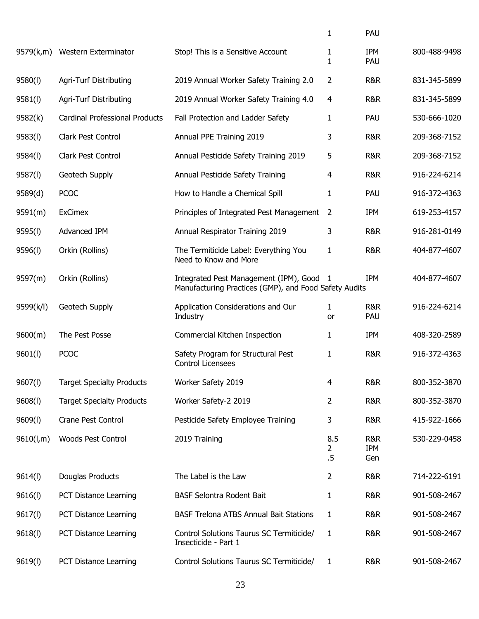|           |                                       |                                                                                                 | 1                               | PAU                          |              |
|-----------|---------------------------------------|-------------------------------------------------------------------------------------------------|---------------------------------|------------------------------|--------------|
| 9579(k,m) | Western Exterminator                  | Stop! This is a Sensitive Account                                                               | 1<br>1                          | <b>IPM</b><br>PAU            | 800-488-9498 |
| 9580(l)   | Agri-Turf Distributing                | 2019 Annual Worker Safety Training 2.0                                                          | 2                               | <b>R&amp;R</b>               | 831-345-5899 |
| 9581(l)   | <b>Agri-Turf Distributing</b>         | 2019 Annual Worker Safety Training 4.0                                                          | 4                               | <b>R&amp;R</b>               | 831-345-5899 |
| 9582(k)   | <b>Cardinal Professional Products</b> | Fall Protection and Ladder Safety                                                               | 1                               | PAU                          | 530-666-1020 |
| 9583(l)   | Clark Pest Control                    | Annual PPE Training 2019                                                                        | 3                               | <b>R&amp;R</b>               | 209-368-7152 |
| 9584(l)   | Clark Pest Control                    | Annual Pesticide Safety Training 2019                                                           | 5                               | <b>R&amp;R</b>               | 209-368-7152 |
| 9587(l)   | Geotech Supply                        | Annual Pesticide Safety Training                                                                | 4                               | <b>R&amp;R</b>               | 916-224-6214 |
| 9589(d)   | <b>PCOC</b>                           | How to Handle a Chemical Spill                                                                  | 1                               | PAU                          | 916-372-4363 |
| 9591(m)   | <b>ExCimex</b>                        | Principles of Integrated Pest Management                                                        | 2                               | <b>IPM</b>                   | 619-253-4157 |
| 9595(l)   | Advanced IPM                          | Annual Respirator Training 2019                                                                 | 3                               | <b>R&amp;R</b>               | 916-281-0149 |
| 9596(l)   | Orkin (Rollins)                       | The Termiticide Label: Everything You<br>Need to Know and More                                  | 1                               | <b>R&amp;R</b>               | 404-877-4607 |
| 9597(m)   | Orkin (Rollins)                       | Integrated Pest Management (IPM), Good<br>Manufacturing Practices (GMP), and Food Safety Audits | -1                              | <b>IPM</b>                   | 404-877-4607 |
| 9599(k/l) | Geotech Supply                        | Application Considerations and Our<br>Industry                                                  | 1<br>$or$                       | <b>R&amp;R</b><br>PAU        | 916-224-6214 |
| 9600(m)   | The Pest Posse                        | Commercial Kitchen Inspection                                                                   | 1                               | <b>IPM</b>                   | 408-320-2589 |
| 9601(1)   | <b>PCOC</b>                           | Safety Program for Structural Pest<br><b>Control Licensees</b>                                  | 1                               | <b>R&amp;R</b>               | 916-372-4363 |
| 9607(l)   | <b>Target Specialty Products</b>      | Worker Safety 2019                                                                              | 4                               | <b>R&amp;R</b>               | 800-352-3870 |
| 9608(1)   | <b>Target Specialty Products</b>      | Worker Safety-2 2019                                                                            | 2                               | <b>R&amp;R</b>               | 800-352-3870 |
| 9609(1)   | Crane Pest Control                    | Pesticide Safety Employee Training                                                              | 3                               | R&R                          | 415-922-1666 |
| 9610(l,m) | <b>Woods Pest Control</b>             | 2019 Training                                                                                   | 8.5<br>$\overline{2}$<br>$.5\,$ | <b>R&amp;R</b><br>IPM<br>Gen | 530-229-0458 |
| 9614(1)   | Douglas Products                      | The Label is the Law                                                                            | 2                               | <b>R&amp;R</b>               | 714-222-6191 |
| 9616(1)   | PCT Distance Learning                 | BASF Selontra Rodent Bait                                                                       | 1                               | <b>R&amp;R</b>               | 901-508-2467 |
| 9617(l)   | PCT Distance Learning                 | <b>BASF Trelona ATBS Annual Bait Stations</b>                                                   | 1                               | <b>R&amp;R</b>               | 901-508-2467 |
| 9618(1)   | PCT Distance Learning                 | Control Solutions Taurus SC Termiticide/<br>Insecticide - Part 1                                | 1                               | R&R                          | 901-508-2467 |
| 9619(l)   | PCT Distance Learning                 | Control Solutions Taurus SC Termiticide/                                                        | 1                               | R&R                          | 901-508-2467 |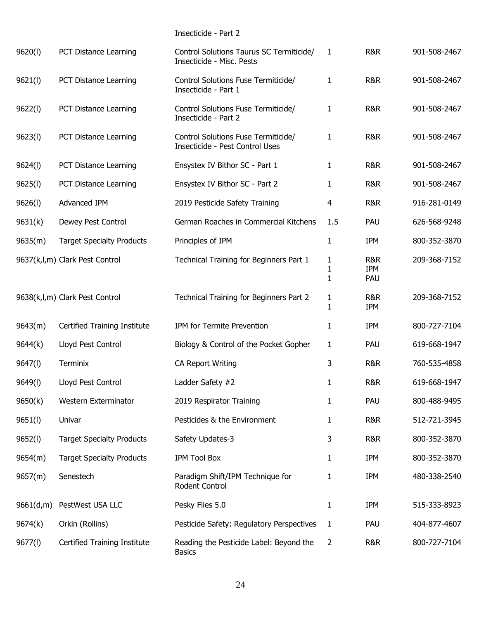|           |                                  | Insecticide - Part 2                                                   |                |                   |              |
|-----------|----------------------------------|------------------------------------------------------------------------|----------------|-------------------|--------------|
| 9620(l)   | PCT Distance Learning            | Control Solutions Taurus SC Termiticide/<br>Insecticide - Misc. Pests  | 1              | R&R               | 901-508-2467 |
| 9621(l)   | PCT Distance Learning            | Control Solutions Fuse Termiticide/<br>Insecticide - Part 1            | 1              | R&R               | 901-508-2467 |
| 9622(1)   | PCT Distance Learning            | Control Solutions Fuse Termiticide/<br>Insecticide - Part 2            | 1              | R&R               | 901-508-2467 |
| 9623(1)   | PCT Distance Learning            | Control Solutions Fuse Termiticide/<br>Insecticide - Pest Control Uses | 1              | R&R               | 901-508-2467 |
| 9624(l)   | PCT Distance Learning            | Ensystex IV Bithor SC - Part 1                                         | 1              | R&R               | 901-508-2467 |
| 9625(l)   | PCT Distance Learning            | Ensystex IV Bithor SC - Part 2                                         | 1              | R&R               | 901-508-2467 |
| 9626(1)   | Advanced IPM                     | 2019 Pesticide Safety Training                                         | 4              | R&R               | 916-281-0149 |
| 9631(k)   | Dewey Pest Control               | German Roaches in Commercial Kitchens                                  | 1.5            | PAU               | 626-568-9248 |
| 9635(m)   | <b>Target Specialty Products</b> | Principles of IPM                                                      | $\mathbf{1}$   | <b>IPM</b>        | 800-352-3870 |
|           | 9637(k,l,m) Clark Pest Control   | Technical Training for Beginners Part 1                                | 1<br>1<br>1    | R&R<br>IPM<br>PAU | 209-368-7152 |
|           | 9638(k,l,m) Clark Pest Control   | Technical Training for Beginners Part 2                                | 1<br>1         | R&R<br>IPM        | 209-368-7152 |
| 9643(m)   | Certified Training Institute     | IPM for Termite Prevention                                             | 1              | <b>IPM</b>        | 800-727-7104 |
| 9644(k)   | Lloyd Pest Control               | Biology & Control of the Pocket Gopher                                 | 1              | PAU               | 619-668-1947 |
| 9647(l)   | Terminix                         | <b>CA Report Writing</b>                                               | 3              | <b>R&amp;R</b>    | 760-535-4858 |
| 9649(I)   | Lloyd Pest Control               | Ladder Safety #2                                                       | 1              | <b>R&amp;R</b>    | 619-668-1947 |
| 9650(k)   | Western Exterminator             | 2019 Respirator Training                                               | 1              | PAU               | 800-488-9495 |
| 9651(l)   | Univar                           | Pesticides & the Environment                                           | 1              | <b>R&amp;R</b>    | 512-721-3945 |
| 9652(l)   | <b>Target Specialty Products</b> | Safety Updates-3                                                       | 3              | <b>R&amp;R</b>    | 800-352-3870 |
| 9654(m)   | <b>Target Specialty Products</b> | <b>IPM Tool Box</b>                                                    | 1              | <b>IPM</b>        | 800-352-3870 |
| 9657(m)   | Senestech                        | Paradigm Shift/IPM Technique for<br>Rodent Control                     | 1              | <b>IPM</b>        | 480-338-2540 |
| 9661(d,m) | PestWest USA LLC                 | Pesky Flies 5.0                                                        | 1              | <b>IPM</b>        | 515-333-8923 |
| 9674(k)   | Orkin (Rollins)                  | Pesticide Safety: Regulatory Perspectives                              | 1              | PAU               | 404-877-4607 |
| 9677(l)   | Certified Training Institute     | Reading the Pesticide Label: Beyond the<br><b>Basics</b>               | $\overline{2}$ | R&R               | 800-727-7104 |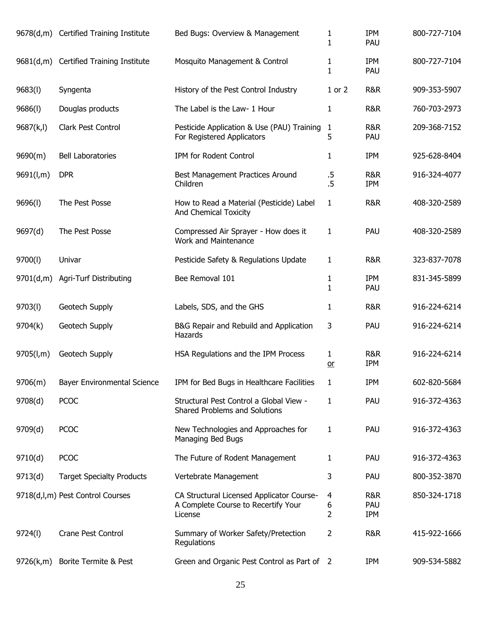|           | 9678(d,m) Certified Training Institute | Bed Bugs: Overview & Management                                                             | 1<br>1            | <b>IPM</b><br>PAU        | 800-727-7104 |
|-----------|----------------------------------------|---------------------------------------------------------------------------------------------|-------------------|--------------------------|--------------|
|           | 9681(d,m) Certified Training Institute | Mosquito Management & Control                                                               | 1<br>$\mathbf{1}$ | <b>IPM</b><br>PAU        | 800-727-7104 |
| 9683(1)   | Syngenta                               | History of the Pest Control Industry                                                        | $1$ or $2$        | R&R                      | 909-353-5907 |
| 9686(1)   | Douglas products                       | The Label is the Law- 1 Hour                                                                | 1                 | R&R                      | 760-703-2973 |
| 9687(k,l) | Clark Pest Control                     | Pesticide Application & Use (PAU) Training<br>For Registered Applicators                    | $\mathbf{1}$<br>5 | R&R<br>PAU               | 209-368-7152 |
| 9690(m)   | <b>Bell Laboratories</b>               | IPM for Rodent Control                                                                      | 1                 | IPM                      | 925-628-8404 |
| 9691(l,m) | <b>DPR</b>                             | Best Management Practices Around<br>Children                                                | $.5\,$<br>$.5\,$  | R&R<br><b>IPM</b>        | 916-324-4077 |
| 9696(l)   | The Pest Posse                         | How to Read a Material (Pesticide) Label<br>And Chemical Toxicity                           | 1                 | R&R                      | 408-320-2589 |
| 9697(d)   | The Pest Posse                         | Compressed Air Sprayer - How does it<br><b>Work and Maintenance</b>                         | 1                 | PAU                      | 408-320-2589 |
| 9700(l)   | Univar                                 | Pesticide Safety & Regulations Update                                                       | 1                 | R&R                      | 323-837-7078 |
| 9701(d,m) | Agri-Turf Distributing                 | Bee Removal 101                                                                             | 1<br>1            | <b>IPM</b><br>PAU        | 831-345-5899 |
| 9703(l)   | Geotech Supply                         | Labels, SDS, and the GHS                                                                    | 1                 | R&R                      | 916-224-6214 |
| 9704(k)   | Geotech Supply                         | B&G Repair and Rebuild and Application<br>Hazards                                           | 3                 | PAU                      | 916-224-6214 |
| 9705(l,m) | Geotech Supply                         | HSA Regulations and the IPM Process                                                         | 1<br>$or$         | R&R<br><b>IPM</b>        | 916-224-6214 |
| 9706(m)   | Bayer Environmental Science            | IPM for Bed Bugs in Healthcare Facilities                                                   | 1                 | <b>IPM</b>               | 602-820-5684 |
| 9708(d)   | <b>PCOC</b>                            | Structural Pest Control a Global View -<br>Shared Problems and Solutions                    | 1                 | PAU                      | 916-372-4363 |
| 9709(d)   | <b>PCOC</b>                            | New Technologies and Approaches for<br>Managing Bed Bugs                                    | 1                 | PAU                      | 916-372-4363 |
| 9710(d)   | <b>PCOC</b>                            | The Future of Rodent Management                                                             | 1                 | PAU                      | 916-372-4363 |
| 9713(d)   | <b>Target Specialty Products</b>       | Vertebrate Management                                                                       | 3                 | PAU                      | 800-352-3870 |
|           | 9718(d,l,m) Pest Control Courses       | CA Structural Licensed Applicator Course-<br>A Complete Course to Recertify Your<br>License | 4<br>6<br>2       | R&R<br>PAU<br><b>IPM</b> | 850-324-1718 |
| 9724(l)   | <b>Crane Pest Control</b>              | Summary of Worker Safety/Pretection<br>Regulations                                          | 2                 | R&R                      | 415-922-1666 |
| 9726(k,m) | Borite Termite & Pest                  | Green and Organic Pest Control as Part of 2                                                 |                   | IPM                      | 909-534-5882 |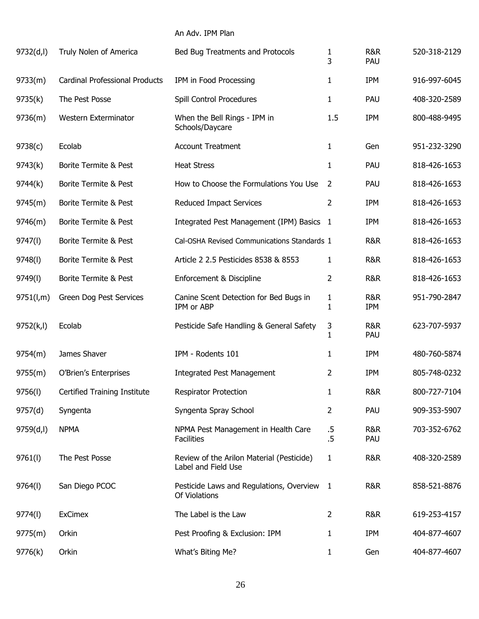## An Adv. IPM Plan

| 9732(d,l)  | Truly Nolen of America                | Bed Bug Treatments and Protocols                                 | 1<br>3                       | R&R<br>PAU        | 520-318-2129 |
|------------|---------------------------------------|------------------------------------------------------------------|------------------------------|-------------------|--------------|
| 9733(m)    | <b>Cardinal Professional Products</b> | IPM in Food Processing                                           | 1                            | <b>IPM</b>        | 916-997-6045 |
| 9735(k)    | The Pest Posse                        | Spill Control Procedures                                         | 1                            | PAU               | 408-320-2589 |
| 9736(m)    | Western Exterminator                  | When the Bell Rings - IPM in<br>Schools/Daycare                  | 1.5                          | <b>IPM</b>        | 800-488-9495 |
| 9738(c)    | Ecolab                                | <b>Account Treatment</b>                                         | 1                            | Gen               | 951-232-3290 |
| 9743(k)    | Borite Termite & Pest                 | <b>Heat Stress</b>                                               | 1                            | PAU               | 818-426-1653 |
| 9744(k)    | Borite Termite & Pest                 | How to Choose the Formulations You Use                           | 2                            | PAU               | 818-426-1653 |
| 9745(m)    | Borite Termite & Pest                 | Reduced Impact Services                                          | 2                            | <b>IPM</b>        | 818-426-1653 |
| 9746(m)    | Borite Termite & Pest                 | Integrated Pest Management (IPM) Basics 1                        |                              | <b>IPM</b>        | 818-426-1653 |
| 9747(I)    | Borite Termite & Pest                 | Cal-OSHA Revised Communications Standards 1                      |                              | <b>R&amp;R</b>    | 818-426-1653 |
| 9748(l)    | Borite Termite & Pest                 | Article 2 2.5 Pesticides 8538 & 8553                             | 1                            | <b>R&amp;R</b>    | 818-426-1653 |
| 9749(I)    | Borite Termite & Pest                 | Enforcement & Discipline                                         | 2                            | R&R               | 818-426-1653 |
| 9751(l,m)  | Green Dog Pest Services               | Canine Scent Detection for Bed Bugs in<br>IPM or ABP             | $\mathbf{1}$<br>$\mathbf{1}$ | R&R<br><b>IPM</b> | 951-790-2847 |
| 9752(k, l) | Ecolab                                | Pesticide Safe Handling & General Safety                         | 3<br>1                       | R&R<br>PAU        | 623-707-5937 |
| 9754(m)    | James Shaver                          | IPM - Rodents 101                                                | 1                            | <b>IPM</b>        | 480-760-5874 |
| 9755(m)    | O'Brien's Enterprises                 | <b>Integrated Pest Management</b>                                | 2                            | <b>IPM</b>        | 805-748-0232 |
| 9756(l)    | Certified Training Institute          | Respirator Protection                                            | 1                            | <b>R&amp;R</b>    | 800-727-7104 |
| 9757(d)    | Syngenta                              | Syngenta Spray School                                            | $\overline{2}$               | PAU               | 909-353-5907 |
| 9759(d, l) | <b>NPMA</b>                           | NPMA Pest Management in Health Care<br><b>Facilities</b>         | $.5\,$<br>.5                 | R&R<br>PAU        | 703-352-6762 |
| 9761(l)    | The Pest Posse                        | Review of the Arilon Material (Pesticide)<br>Label and Field Use | 1                            | R&R               | 408-320-2589 |
| 9764(l)    | San Diego PCOC                        | Pesticide Laws and Regulations, Overview 1<br>Of Violations      |                              | R&R               | 858-521-8876 |
| 9774(l)    | <b>ExCimex</b>                        | The Label is the Law                                             | 2                            | R&R               | 619-253-4157 |
| 9775(m)    | Orkin                                 | Pest Proofing & Exclusion: IPM                                   | 1                            | <b>IPM</b>        | 404-877-4607 |
| 9776(k)    | Orkin                                 | What's Biting Me?                                                | 1                            | Gen               | 404-877-4607 |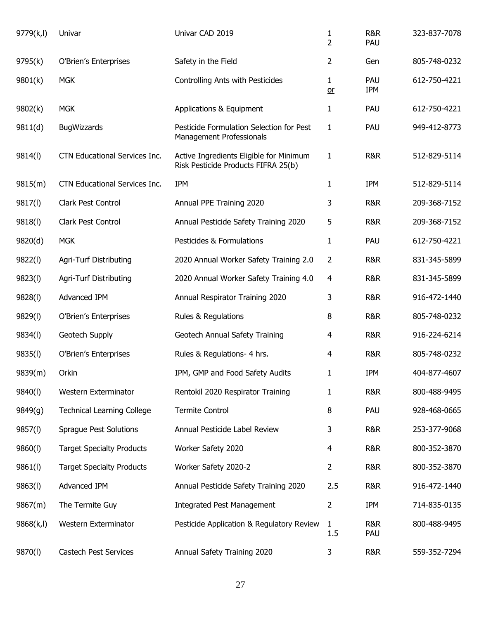| 9779(k,l)  | Univar                            | Univar CAD 2019                                                                | $\mathbf{1}$<br>$\overline{2}$ | R&R<br>PAU        | 323-837-7078 |
|------------|-----------------------------------|--------------------------------------------------------------------------------|--------------------------------|-------------------|--------------|
| 9795(k)    | O'Brien's Enterprises             | Safety in the Field                                                            | $\overline{2}$                 | Gen               | 805-748-0232 |
| 9801(k)    | <b>MGK</b>                        | Controlling Ants with Pesticides                                               | 1<br>$or$                      | PAU<br><b>IPM</b> | 612-750-4221 |
| 9802(k)    | <b>MGK</b>                        | Applications & Equipment                                                       | 1                              | PAU               | 612-750-4221 |
| 9811(d)    | <b>BugWizzards</b>                | Pesticide Formulation Selection for Pest<br><b>Management Professionals</b>    | $\mathbf{1}$                   | PAU               | 949-412-8773 |
| 9814(l)    | CTN Educational Services Inc.     | Active Ingredients Eligible for Minimum<br>Risk Pesticide Products FIFRA 25(b) | 1                              | R&R               | 512-829-5114 |
| 9815(m)    | CTN Educational Services Inc.     | <b>IPM</b>                                                                     | 1                              | <b>IPM</b>        | 512-829-5114 |
| 9817(l)    | Clark Pest Control                | Annual PPE Training 2020                                                       | 3                              | <b>R&amp;R</b>    | 209-368-7152 |
| 9818(l)    | Clark Pest Control                | Annual Pesticide Safety Training 2020                                          | 5                              | <b>R&amp;R</b>    | 209-368-7152 |
| 9820(d)    | <b>MGK</b>                        | Pesticides & Formulations                                                      | 1                              | PAU               | 612-750-4221 |
| 9822(l)    | Agri-Turf Distributing            | 2020 Annual Worker Safety Training 2.0                                         | $\overline{2}$                 | <b>R&amp;R</b>    | 831-345-5899 |
| 9823(l)    | Agri-Turf Distributing            | 2020 Annual Worker Safety Training 4.0                                         | $\overline{4}$                 | <b>R&amp;R</b>    | 831-345-5899 |
| 9828(l)    | Advanced IPM                      | Annual Respirator Training 2020                                                | 3                              | <b>R&amp;R</b>    | 916-472-1440 |
| 9829(l)    | O'Brien's Enterprises             | Rules & Regulations                                                            | 8                              | <b>R&amp;R</b>    | 805-748-0232 |
| 9834(l)    | Geotech Supply                    | Geotech Annual Safety Training                                                 | 4                              | <b>R&amp;R</b>    | 916-224-6214 |
| 9835(l)    | O'Brien's Enterprises             | Rules & Regulations- 4 hrs.                                                    | 4                              | R&R               | 805-748-0232 |
| 9839(m)    | Orkin                             | IPM, GMP and Food Safety Audits                                                | 1                              | <b>IPM</b>        | 404-877-4607 |
| 9840(l)    | Western Exterminator              | Rentokil 2020 Respirator Training                                              | 1                              | <b>R&amp;R</b>    | 800-488-9495 |
| 9849(g)    | <b>Technical Learning College</b> | <b>Termite Control</b>                                                         | 8                              | PAU               | 928-468-0665 |
| 9857(l)    | <b>Sprague Pest Solutions</b>     | Annual Pesticide Label Review                                                  | 3                              | R&R               | 253-377-9068 |
| 9860(l)    | <b>Target Specialty Products</b>  | Worker Safety 2020                                                             | 4                              | <b>R&amp;R</b>    | 800-352-3870 |
| 9861(l)    | <b>Target Specialty Products</b>  | Worker Safety 2020-2                                                           | 2                              | R&R               | 800-352-3870 |
| 9863(l)    | Advanced IPM                      | Annual Pesticide Safety Training 2020                                          | 2.5                            | R&R               | 916-472-1440 |
| 9867(m)    | The Termite Guy                   | <b>Integrated Pest Management</b>                                              | 2                              | <b>IPM</b>        | 714-835-0135 |
| 9868(k, l) | Western Exterminator              | Pesticide Application & Regulatory Review                                      | 1<br>1.5                       | R&R<br>PAU        | 800-488-9495 |
| 9870(l)    | Castech Pest Services             | Annual Safety Training 2020                                                    | 3                              | R&R               | 559-352-7294 |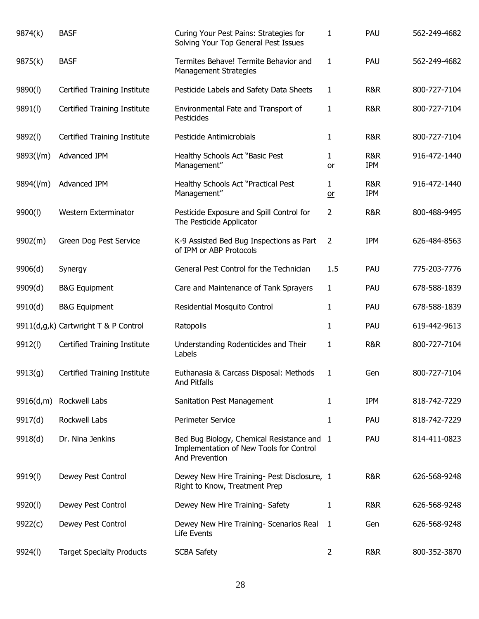| 9874(k)   | <b>BASF</b>                          | Curing Your Pest Pains: Strategies for<br>Solving Your Top General Pest Issues                          | 1              | PAU               | 562-249-4682 |
|-----------|--------------------------------------|---------------------------------------------------------------------------------------------------------|----------------|-------------------|--------------|
| 9875(k)   | <b>BASF</b>                          | Termites Behave! Termite Behavior and<br><b>Management Strategies</b>                                   | 1              | PAU               | 562-249-4682 |
| 9890(l)   | Certified Training Institute         | Pesticide Labels and Safety Data Sheets                                                                 | 1              | R&R               | 800-727-7104 |
| 9891(l)   | Certified Training Institute         | Environmental Fate and Transport of<br>Pesticides                                                       | 1              | R&R               | 800-727-7104 |
| 9892(l)   | Certified Training Institute         | Pesticide Antimicrobials                                                                                | 1              | R&R               | 800-727-7104 |
| 9893(l/m) | Advanced IPM                         | Healthy Schools Act "Basic Pest<br>Management"                                                          | 1<br>$or$      | R&R<br><b>IPM</b> | 916-472-1440 |
| 9894(l/m) | Advanced IPM                         | Healthy Schools Act "Practical Pest<br>Management"                                                      | 1<br>$or$      | R&R<br><b>IPM</b> | 916-472-1440 |
| 9900(l)   | Western Exterminator                 | Pesticide Exposure and Spill Control for<br>The Pesticide Applicator                                    | 2              | R&R               | 800-488-9495 |
| 9902(m)   | Green Dog Pest Service               | K-9 Assisted Bed Bug Inspections as Part<br>of IPM or ABP Protocols                                     | $\overline{2}$ | <b>IPM</b>        | 626-484-8563 |
| 9906(d)   | Synergy                              | General Pest Control for the Technician                                                                 | 1.5            | PAU               | 775-203-7776 |
| 9909(d)   | <b>B&amp;G Equipment</b>             | Care and Maintenance of Tank Sprayers                                                                   | $\mathbf{1}$   | PAU               | 678-588-1839 |
| 9910(d)   | <b>B&amp;G Equipment</b>             | Residential Mosquito Control                                                                            | 1              | PAU               | 678-588-1839 |
|           | 9911(d,g,k) Cartwright T & P Control | Ratopolis                                                                                               | 1              | PAU               | 619-442-9613 |
| 9912(l)   | Certified Training Institute         | Understanding Rodenticides and Their<br>Labels                                                          | 1              | R&R               | 800-727-7104 |
| 9913(g)   | Certified Training Institute         | Euthanasia & Carcass Disposal: Methods<br><b>And Pitfalls</b>                                           | 1              | Gen               | 800-727-7104 |
| 9916(d,m) | Rockwell Labs                        | Sanitation Pest Management                                                                              | 1              | <b>IPM</b>        | 818-742-7229 |
| 9917(d)   | Rockwell Labs                        | Perimeter Service                                                                                       | 1              | PAU               | 818-742-7229 |
| 9918(d)   | Dr. Nina Jenkins                     | Bed Bug Biology, Chemical Resistance and 1<br>Implementation of New Tools for Control<br>And Prevention |                | PAU               | 814-411-0823 |
| 9919(l)   | Dewey Pest Control                   | Dewey New Hire Training- Pest Disclosure, 1<br>Right to Know, Treatment Prep                            |                | R&R               | 626-568-9248 |
| 9920(l)   | Dewey Pest Control                   | Dewey New Hire Training- Safety                                                                         | 1              | R&R               | 626-568-9248 |
| 9922(c)   | Dewey Pest Control                   | Dewey New Hire Training- Scenarios Real<br>Life Events                                                  | 1              | Gen               | 626-568-9248 |
| 9924(I)   | <b>Target Specialty Products</b>     | <b>SCBA Safety</b>                                                                                      | $\overline{2}$ | R&R               | 800-352-3870 |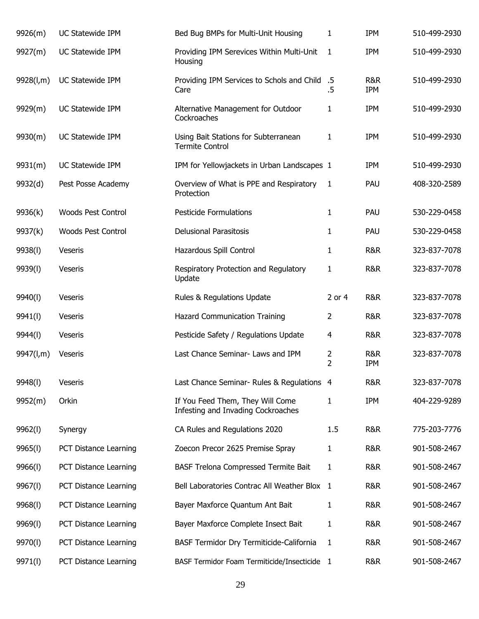| 9926(m)   | UC Statewide IPM          | Bed Bug BMPs for Multi-Unit Housing                                    | 1                                | <b>IPM</b>        | 510-499-2930 |
|-----------|---------------------------|------------------------------------------------------------------------|----------------------------------|-------------------|--------------|
| 9927(m)   | UC Statewide IPM          | Providing IPM Serevices Within Multi-Unit<br>Housing                   | $\mathbf{1}$                     | <b>IPM</b>        | 510-499-2930 |
| 9928(l,m) | UC Statewide IPM          | Providing IPM Services to Schols and Child<br>Care                     | $.5\,$<br>.5                     | R&R<br><b>IPM</b> | 510-499-2930 |
| 9929(m)   | UC Statewide IPM          | Alternative Management for Outdoor<br>Cockroaches                      | 1                                | <b>IPM</b>        | 510-499-2930 |
| 9930(m)   | UC Statewide IPM          | Using Bait Stations for Subterranean<br><b>Termite Control</b>         | 1                                | <b>IPM</b>        | 510-499-2930 |
| 9931(m)   | UC Statewide IPM          | IPM for Yellowjackets in Urban Landscapes 1                            |                                  | <b>IPM</b>        | 510-499-2930 |
| 9932(d)   | Pest Posse Academy        | Overview of What is PPE and Respiratory<br>Protection                  | 1                                | PAU               | 408-320-2589 |
| 9936(k)   | <b>Woods Pest Control</b> | <b>Pesticide Formulations</b>                                          | 1                                | PAU               | 530-229-0458 |
| 9937(k)   | <b>Woods Pest Control</b> | <b>Delusional Parasitosis</b>                                          | 1                                | PAU               | 530-229-0458 |
| 9938(l)   | Veseris                   | Hazardous Spill Control                                                | 1                                | R&R               | 323-837-7078 |
| 9939(l)   | Veseris                   | Respiratory Protection and Regulatory<br>Update                        | 1                                | R&R               | 323-837-7078 |
| 9940(l)   | Veseris                   | Rules & Regulations Update                                             | 2 or 4                           | R&R               | 323-837-7078 |
| 9941(l)   | Veseris                   | Hazard Communication Training                                          | 2                                | R&R               | 323-837-7078 |
| 9944(I)   | Veseris                   | Pesticide Safety / Regulations Update                                  | $\overline{4}$                   | R&R               | 323-837-7078 |
| 9947(l,m) | Veseris                   | Last Chance Seminar- Laws and IPM                                      | $\overline{2}$<br>$\overline{2}$ | R&R<br><b>IPM</b> | 323-837-7078 |
| 9948(I)   | Veseris                   | Last Chance Seminar- Rules & Regulations 4                             |                                  | R&R               | 323-837-7078 |
| 9952(m)   | Orkin                     | If You Feed Them, They Will Come<br>Infesting and Invading Cockroaches | 1                                | <b>IPM</b>        | 404-229-9289 |
| 9962(l)   | Synergy                   | CA Rules and Regulations 2020                                          | 1.5                              | R&R               | 775-203-7776 |
| 9965(l)   | PCT Distance Learning     | Zoecon Precor 2625 Premise Spray                                       | 1                                | R&R               | 901-508-2467 |
| 9966(l)   | PCT Distance Learning     | BASF Trelona Compressed Termite Bait                                   | 1                                | R&R               | 901-508-2467 |
| 9967(l)   | PCT Distance Learning     | Bell Laboratories Contrac All Weather Blox 1                           |                                  | R&R               | 901-508-2467 |
| 9968(l)   | PCT Distance Learning     | Bayer Maxforce Quantum Ant Bait                                        | 1                                | R&R               | 901-508-2467 |
| 9969(l)   | PCT Distance Learning     | Bayer Maxforce Complete Insect Bait                                    | 1                                | R&R               | 901-508-2467 |
| 9970(l)   | PCT Distance Learning     | BASF Termidor Dry Termiticide-California                               | 1                                | R&R               | 901-508-2467 |
| 9971(l)   | PCT Distance Learning     | BASF Termidor Foam Termiticide/Insecticide 1                           |                                  | R&R               | 901-508-2467 |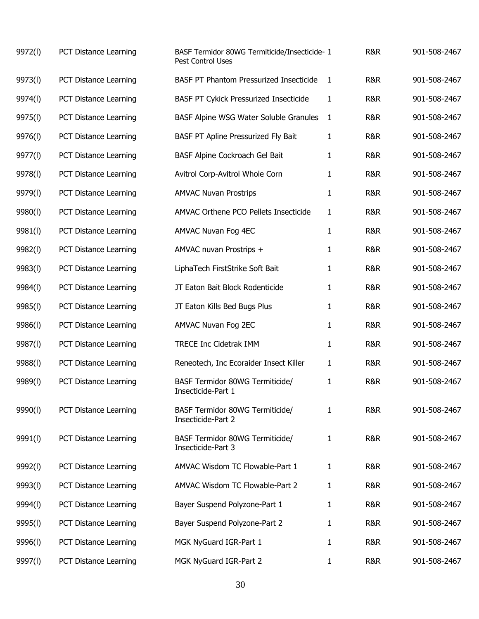| 9972(l) | PCT Distance Learning | BASF Termidor 80WG Termiticide/Insecticide- 1<br>Pest Control Uses |   | R&R            | 901-508-2467 |
|---------|-----------------------|--------------------------------------------------------------------|---|----------------|--------------|
| 9973(l) | PCT Distance Learning | BASF PT Phantom Pressurized Insecticide                            | 1 | R&R            | 901-508-2467 |
| 9974(l) | PCT Distance Learning | <b>BASF PT Cykick Pressurized Insecticide</b>                      | 1 | <b>R&amp;R</b> | 901-508-2467 |
| 9975(l) | PCT Distance Learning | BASF Alpine WSG Water Soluble Granules                             | 1 | R&R            | 901-508-2467 |
| 9976(l) | PCT Distance Learning | BASF PT Apline Pressurized Fly Bait                                | 1 | R&R            | 901-508-2467 |
| 9977(l) | PCT Distance Learning | BASF Alpine Cockroach Gel Bait                                     | 1 | R&R            | 901-508-2467 |
| 9978(l) | PCT Distance Learning | Avitrol Corp-Avitrol Whole Corn                                    | 1 | R&R            | 901-508-2467 |
| 9979(l) | PCT Distance Learning | <b>AMVAC Nuvan Prostrips</b>                                       | 1 | R&R            | 901-508-2467 |
| 9980(l) | PCT Distance Learning | AMVAC Orthene PCO Pellets Insecticide                              | 1 | R&R            | 901-508-2467 |
| 9981(l) | PCT Distance Learning | AMVAC Nuvan Fog 4EC                                                | 1 | R&R            | 901-508-2467 |
| 9982(l) | PCT Distance Learning | AMVAC nuvan Prostrips +                                            | 1 | R&R            | 901-508-2467 |
| 9983(l) | PCT Distance Learning | LiphaTech FirstStrike Soft Bait                                    | 1 | R&R            | 901-508-2467 |
| 9984(I) | PCT Distance Learning | JT Eaton Bait Block Rodenticide                                    | 1 | R&R            | 901-508-2467 |
| 9985(l) | PCT Distance Learning | JT Eaton Kills Bed Bugs Plus                                       | 1 | R&R            | 901-508-2467 |
| 9986(l) | PCT Distance Learning | AMVAC Nuvan Fog 2EC                                                | 1 | R&R            | 901-508-2467 |
| 9987(l) | PCT Distance Learning | <b>TRECE Inc Cidetrak IMM</b>                                      | 1 | R&R            | 901-508-2467 |
| 9988(l) | PCT Distance Learning | Reneotech, Inc Ecoraider Insect Killer                             | 1 | R&R            | 901-508-2467 |
| 9989(l) | PCT Distance Learning | BASF Termidor 80WG Termiticide/<br>Insecticide-Part 1              | 1 | R&R            | 901-508-2467 |
| 9990(l) | PCT Distance Learning | BASF Termidor 80WG Termiticide/<br>Insecticide-Part 2              | 1 | R&R            | 901-508-2467 |
| 9991(l) | PCT Distance Learning | <b>BASF Termidor 80WG Termiticide/</b><br>Insecticide-Part 3       | 1 | R&R            | 901-508-2467 |
| 9992(l) | PCT Distance Learning | AMVAC Wisdom TC Flowable-Part 1                                    | 1 | R&R            | 901-508-2467 |
| 9993(l) | PCT Distance Learning | AMVAC Wisdom TC Flowable-Part 2                                    | 1 | R&R            | 901-508-2467 |
| 9994(l) | PCT Distance Learning | Bayer Suspend Polyzone-Part 1                                      | 1 | R&R            | 901-508-2467 |
| 9995(l) | PCT Distance Learning | Bayer Suspend Polyzone-Part 2                                      | 1 | R&R            | 901-508-2467 |
| 9996(l) | PCT Distance Learning | MGK NyGuard IGR-Part 1                                             | 1 | R&R            | 901-508-2467 |
| 9997(l) | PCT Distance Learning | MGK NyGuard IGR-Part 2                                             | 1 | R&R            | 901-508-2467 |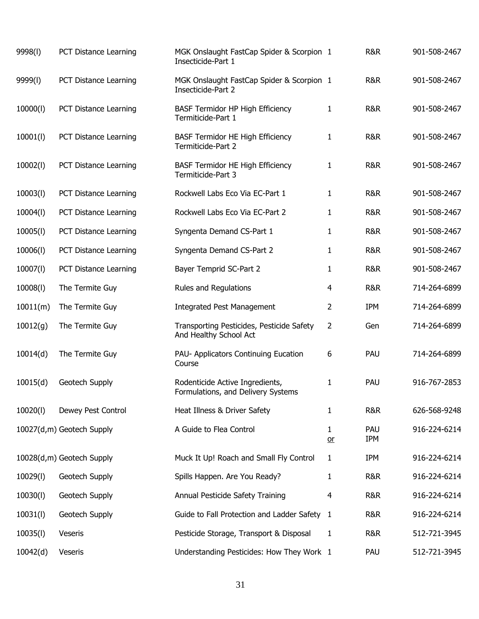| 9998(l)  | PCT Distance Learning     | MGK Onslaught FastCap Spider & Scorpion 1<br>Insecticide-Part 1       |                | <b>R&amp;R</b>    | 901-508-2467 |
|----------|---------------------------|-----------------------------------------------------------------------|----------------|-------------------|--------------|
| 9999(l)  | PCT Distance Learning     | MGK Onslaught FastCap Spider & Scorpion 1<br>Insecticide-Part 2       |                | R&R               | 901-508-2467 |
| 10000(l) | PCT Distance Learning     | <b>BASF Termidor HP High Efficiency</b><br>Termiticide-Part 1         | $\mathbf{1}$   | R&R               | 901-508-2467 |
| 10001(1) | PCT Distance Learning     | <b>BASF Termidor HE High Efficiency</b><br>Termiticide-Part 2         | 1              | R&R               | 901-508-2467 |
| 10002(1) | PCT Distance Learning     | <b>BASF Termidor HE High Efficiency</b><br>Termiticide-Part 3         | 1              | R&R               | 901-508-2467 |
| 10003(1) | PCT Distance Learning     | Rockwell Labs Eco Via EC-Part 1                                       | $\mathbf{1}$   | R&R               | 901-508-2467 |
| 10004(l) | PCT Distance Learning     | Rockwell Labs Eco Via EC-Part 2                                       | 1              | R&R               | 901-508-2467 |
| 10005(l) | PCT Distance Learning     | Syngenta Demand CS-Part 1                                             | 1              | R&R               | 901-508-2467 |
| 10006(l) | PCT Distance Learning     | Syngenta Demand CS-Part 2                                             | 1              | R&R               | 901-508-2467 |
| 10007(l) | PCT Distance Learning     | Bayer Temprid SC-Part 2                                               | 1              | R&R               | 901-508-2467 |
| 10008(l) | The Termite Guy           | Rules and Regulations                                                 | 4              | <b>R&amp;R</b>    | 714-264-6899 |
| 10011(m) | The Termite Guy           | <b>Integrated Pest Management</b>                                     | 2              | <b>IPM</b>        | 714-264-6899 |
| 10012(g) | The Termite Guy           | Transporting Pesticides, Pesticide Safety<br>And Healthy School Act   | $\overline{2}$ | Gen               | 714-264-6899 |
| 10014(d) | The Termite Guy           | PAU- Applicators Continuing Eucation<br>Course                        | 6              | PAU               | 714-264-6899 |
| 10015(d) | Geotech Supply            | Rodenticide Active Ingredients,<br>Formulations, and Delivery Systems | 1              | PAU               | 916-767-2853 |
| 10020(l) | Dewey Pest Control        | Heat Illness & Driver Safety                                          | 1              | <b>R&amp;R</b>    | 626-568-9248 |
|          | 10027(d,m) Geotech Supply | A Guide to Flea Control                                               | 1<br>$or$      | PAU<br><b>IPM</b> | 916-224-6214 |
|          | 10028(d,m) Geotech Supply | Muck It Up! Roach and Small Fly Control                               | 1              | <b>IPM</b>        | 916-224-6214 |
| 10029(l) | Geotech Supply            | Spills Happen. Are You Ready?                                         | 1              | <b>R&amp;R</b>    | 916-224-6214 |
| 10030(l) | Geotech Supply            | Annual Pesticide Safety Training                                      | 4              | <b>R&amp;R</b>    | 916-224-6214 |
| 10031(l) | Geotech Supply            | Guide to Fall Protection and Ladder Safety 1                          |                | <b>R&amp;R</b>    | 916-224-6214 |
| 10035(l) | Veseris                   | Pesticide Storage, Transport & Disposal                               | 1              | R&R               | 512-721-3945 |
| 10042(d) | Veseris                   | Understanding Pesticides: How They Work 1                             |                | PAU               | 512-721-3945 |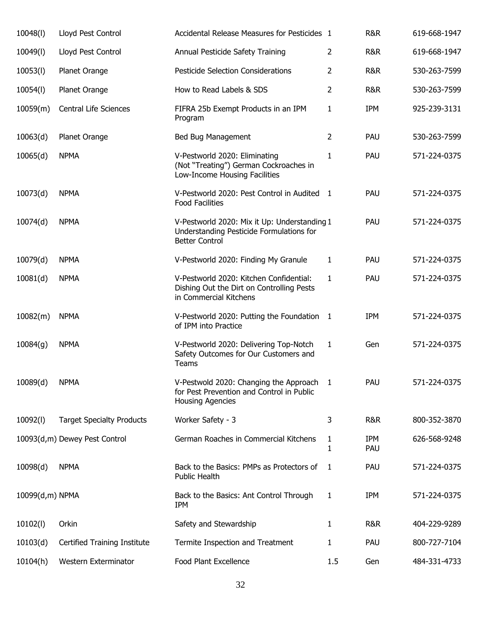| 10048(I)        | Lloyd Pest Control               | Accidental Release Measures for Pesticides 1                                                                      |                | R&R               | 619-668-1947 |
|-----------------|----------------------------------|-------------------------------------------------------------------------------------------------------------------|----------------|-------------------|--------------|
| 10049(I)        | Lloyd Pest Control               | Annual Pesticide Safety Training                                                                                  | $\overline{2}$ | R&R               | 619-668-1947 |
| 10053(l)        | Planet Orange                    | Pesticide Selection Considerations                                                                                | $\overline{2}$ | R&R               | 530-263-7599 |
| 10054(I)        | Planet Orange                    | How to Read Labels & SDS                                                                                          | $\overline{2}$ | R&R               | 530-263-7599 |
| 10059(m)        | <b>Central Life Sciences</b>     | FIFRA 25b Exempt Products in an IPM<br>Program                                                                    | $\mathbf{1}$   | IPM               | 925-239-3131 |
| 10063(d)        | Planet Orange                    | Bed Bug Management                                                                                                | $\overline{2}$ | PAU               | 530-263-7599 |
| 10065(d)        | <b>NPMA</b>                      | V-Pestworld 2020: Eliminating<br>(Not "Treating") German Cockroaches in<br>Low-Income Housing Facilities          | $\mathbf{1}$   | PAU               | 571-224-0375 |
| 10073(d)        | <b>NPMA</b>                      | V-Pestworld 2020: Pest Control in Audited 1<br><b>Food Facilities</b>                                             |                | PAU               | 571-224-0375 |
| 10074(d)        | <b>NPMA</b>                      | V-Pestworld 2020: Mix it Up: Understanding 1<br>Understanding Pesticide Formulations for<br><b>Better Control</b> |                | PAU               | 571-224-0375 |
| 10079(d)        | <b>NPMA</b>                      | V-Pestworld 2020: Finding My Granule                                                                              | $\mathbf{1}$   | PAU               | 571-224-0375 |
| 10081(d)        | <b>NPMA</b>                      | V-Pestworld 2020: Kitchen Confidential:<br>Dishing Out the Dirt on Controlling Pests<br>in Commercial Kitchens    | $\mathbf{1}$   | PAU               | 571-224-0375 |
| 10082(m)        | <b>NPMA</b>                      | V-Pestworld 2020: Putting the Foundation 1<br>of IPM into Practice                                                |                | IPM               | 571-224-0375 |
| 10084(g)        | <b>NPMA</b>                      | V-Pestworld 2020: Delivering Top-Notch<br>Safety Outcomes for Our Customers and<br>Teams                          | $\mathbf{1}$   | Gen               | 571-224-0375 |
| 10089(d)        | <b>NPMA</b>                      | V-Pestwold 2020: Changing the Approach<br>for Pest Prevention and Control in Public<br><b>Housing Agencies</b>    | 1              | PAU               | 571-224-0375 |
| 10092(l)        | <b>Target Specialty Products</b> | Worker Safety - 3                                                                                                 | 3              | <b>R&amp;R</b>    | 800-352-3870 |
|                 | 10093(d,m) Dewey Pest Control    | German Roaches in Commercial Kitchens                                                                             | 1<br>1         | <b>IPM</b><br>PAU | 626-568-9248 |
| 10098(d)        | <b>NPMA</b>                      | Back to the Basics: PMPs as Protectors of<br><b>Public Health</b>                                                 | 1              | PAU               | 571-224-0375 |
| 10099(d,m) NPMA |                                  | Back to the Basics: Ant Control Through<br><b>IPM</b>                                                             | 1              | <b>IPM</b>        | 571-224-0375 |
| 10102(l)        | Orkin                            | Safety and Stewardship                                                                                            | 1              | R&R               | 404-229-9289 |
| 10103(d)        | Certified Training Institute     | Termite Inspection and Treatment                                                                                  | 1              | PAU               | 800-727-7104 |
| 10104(h)        | Western Exterminator             | Food Plant Excellence                                                                                             | 1.5            | Gen               | 484-331-4733 |